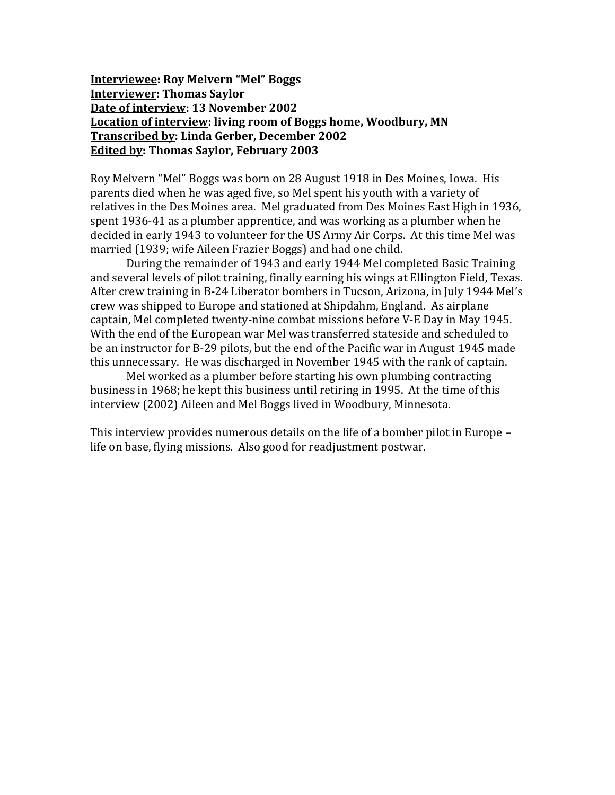**Interviewee: Roy Melvern "Mel" Boggs Interviewer: Thomas Saylor Date of interview: 13 November 2002 Location of interview: living room of Boggs home, Woodbury, MN Transcribed by: Linda Gerber, December 2002 Edited by: Thomas Saylor, February 2003**

Roy Melvern "Mel" Boggs was born on 28 August 1918 in Des Moines, Iowa. His parents died when he was aged five, so Mel spent his youth with a variety of relatives in the Des Moines area. Mel graduated from Des Moines East High in 1936, spent 1936-41 as a plumber apprentice, and was working as a plumber when he decided in early 1943 to volunteer for the US Army Air Corps. At this time Mel was married (1939; wife Aileen Frazier Boggs) and had one child.

During the remainder of 1943 and early 1944 Mel completed Basic Training and several levels of pilot training, finally earning his wings at Ellington Field, Texas. After crew training in B-24 Liberator bombers in Tucson, Arizona, in July 1944 Mel's crew was shipped to Europe and stationed at Shipdahm, England. As airplane captain, Mel completed twenty-nine combat missions before V-E Day in May 1945. With the end of the European war Mel was transferred stateside and scheduled to be an instructor for B-29 pilots, but the end of the Pacific war in August 1945 made this unnecessary. He was discharged in November 1945 with the rank of captain.

Mel worked as a plumber before starting his own plumbing contracting business in 1968; he kept this business until retiring in 1995. At the time of this interview (2002) Aileen and Mel Boggs lived in Woodbury, Minnesota.

This interview provides numerous details on the life of a bomber pilot in Europe – life on base, flying missions. Also good for readjustment postwar.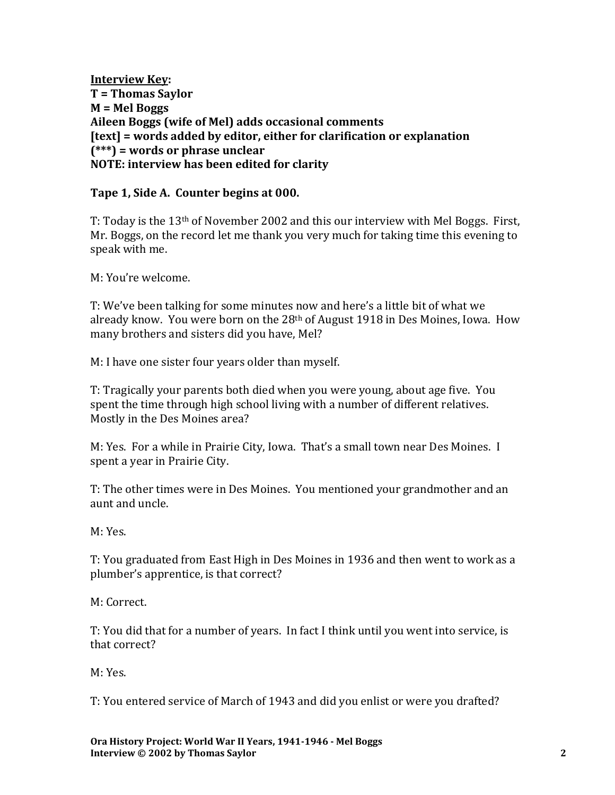**Interview Key: T = Thomas Saylor M = Mel Boggs Aileen Boggs (wife of Mel) adds occasional comments [text] = words added by editor, either for clarification or explanation (\*\*\*) = words or phrase unclear NOTE: interview has been edited for clarity**

#### **Tape 1, Side A. Counter begins at 000.**

T: Today is the 13th of November 2002 and this our interview with Mel Boggs. First, Mr. Boggs, on the record let me thank you very much for taking time this evening to speak with me.

M: You're welcome.

T: We've been talking for some minutes now and here's a little bit of what we already know. You were born on the 28th of August 1918 in Des Moines, Iowa. How many brothers and sisters did you have, Mel?

M: I have one sister four years older than myself.

T: Tragically your parents both died when you were young, about age five. You spent the time through high school living with a number of different relatives. Mostly in the Des Moines area?

M: Yes. For a while in Prairie City, Iowa. That's a small town near Des Moines. I spent a year in Prairie City.

T: The other times were in Des Moines. You mentioned your grandmother and an aunt and uncle.

M: Yes.

T: You graduated from East High in Des Moines in 1936 and then went to work as a plumber's apprentice, is that correct?

M: Correct.

T: You did that for a number of years. In fact I think until you went into service, is that correct?

M: Yes.

T: You entered service of March of 1943 and did you enlist or were you drafted?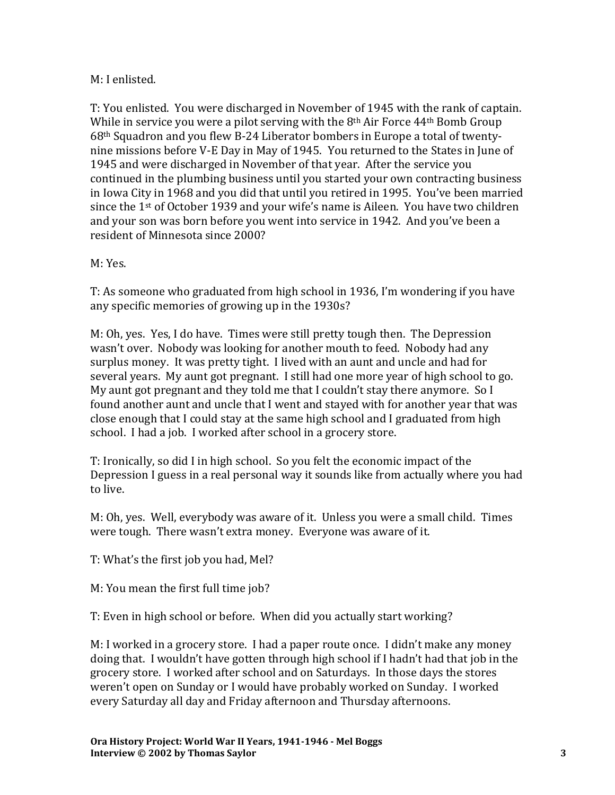#### M: I enlisted.

T: You enlisted. You were discharged in November of 1945 with the rank of captain. While in service you were a pilot serving with the 8th Air Force 44th Bomb Group 68th Squadron and you flew B-24 Liberator bombers in Europe a total of twentynine missions before V-E Day in May of 1945. You returned to the States in June of 1945 and were discharged in November of that year. After the service you continued in the plumbing business until you started your own contracting business in Iowa City in 1968 and you did that until you retired in 1995. You've been married since the 1st of October 1939 and your wife's name is Aileen. You have two children and your son was born before you went into service in 1942. And you've been a resident of Minnesota since 2000?

M: Yes.

T: As someone who graduated from high school in 1936, I'm wondering if you have any specific memories of growing up in the 1930s?

M: Oh, yes. Yes, I do have. Times were still pretty tough then. The Depression wasn't over. Nobody was looking for another mouth to feed. Nobody had any surplus money. It was pretty tight. I lived with an aunt and uncle and had for several years. My aunt got pregnant. I still had one more year of high school to go. My aunt got pregnant and they told me that I couldn't stay there anymore. So I found another aunt and uncle that I went and stayed with for another year that was close enough that I could stay at the same high school and I graduated from high school. I had a job. I worked after school in a grocery store.

T: Ironically, so did I in high school. So you felt the economic impact of the Depression I guess in a real personal way it sounds like from actually where you had to live.

M: Oh, yes. Well, everybody was aware of it. Unless you were a small child. Times were tough. There wasn't extra money. Everyone was aware of it.

T: What's the first job you had, Mel?

M: You mean the first full time job?

T: Even in high school or before. When did you actually start working?

M: I worked in a grocery store. I had a paper route once. I didn't make any money doing that. I wouldn't have gotten through high school if I hadn't had that job in the grocery store. I worked after school and on Saturdays. In those days the stores weren't open on Sunday or I would have probably worked on Sunday. I worked every Saturday all day and Friday afternoon and Thursday afternoons.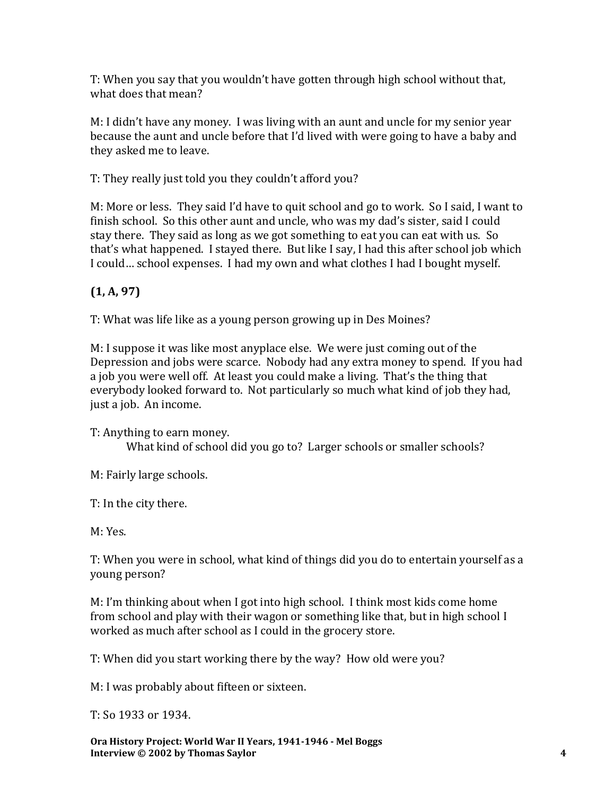T: When you say that you wouldn't have gotten through high school without that, what does that mean?

M: I didn't have any money. I was living with an aunt and uncle for my senior year because the aunt and uncle before that I'd lived with were going to have a baby and they asked me to leave.

T: They really just told you they couldn't afford you?

M: More or less. They said I'd have to quit school and go to work. So I said, I want to finish school. So this other aunt and uncle, who was my dad's sister, said I could stay there. They said as long as we got something to eat you can eat with us. So that's what happened. I stayed there. But like I say, I had this after school job which I could… school expenses. I had my own and what clothes I had I bought myself.

# **(1, A, 97)**

T: What was life like as a young person growing up in Des Moines?

M: I suppose it was like most anyplace else. We were just coming out of the Depression and jobs were scarce. Nobody had any extra money to spend. If you had a job you were well off. At least you could make a living. That's the thing that everybody looked forward to. Not particularly so much what kind of job they had, just a job. An income.

T: Anything to earn money. What kind of school did you go to? Larger schools or smaller schools?

M: Fairly large schools.

T: In the city there.

M: Yes.

T: When you were in school, what kind of things did you do to entertain yourself as a young person?

M: I'm thinking about when I got into high school. I think most kids come home from school and play with their wagon or something like that, but in high school I worked as much after school as I could in the grocery store.

T: When did you start working there by the way? How old were you?

M: I was probably about fifteen or sixteen.

T: So 1933 or 1934.

**Ora History Project: World War II Years, 1941-1946 - Mel Boggs Interview © 2002 by Thomas Saylor 4**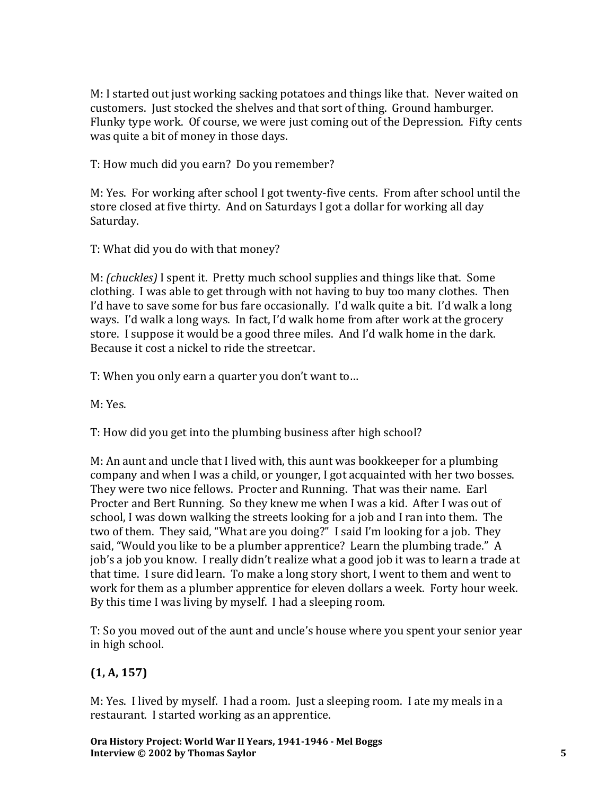M: I started out just working sacking potatoes and things like that. Never waited on customers. Just stocked the shelves and that sort of thing. Ground hamburger. Flunky type work. Of course, we were just coming out of the Depression. Fifty cents was quite a bit of money in those days.

T: How much did you earn? Do you remember?

M: Yes. For working after school I got twenty-five cents. From after school until the store closed at five thirty. And on Saturdays I got a dollar for working all day Saturday.

T: What did you do with that money?

M: *(chuckles)* I spent it. Pretty much school supplies and things like that. Some clothing. I was able to get through with not having to buy too many clothes. Then I'd have to save some for bus fare occasionally. I'd walk quite a bit. I'd walk a long ways. I'd walk a long ways. In fact, I'd walk home from after work at the grocery store. I suppose it would be a good three miles. And I'd walk home in the dark. Because it cost a nickel to ride the streetcar.

T: When you only earn a quarter you don't want to…

M: Yes.

T: How did you get into the plumbing business after high school?

M: An aunt and uncle that I lived with, this aunt was bookkeeper for a plumbing company and when I was a child, or younger, I got acquainted with her two bosses. They were two nice fellows. Procter and Running. That was their name. Earl Procter and Bert Running. So they knew me when I was a kid. After I was out of school, I was down walking the streets looking for a job and I ran into them. The two of them. They said, "What are you doing?" I said I'm looking for a job. They said, "Would you like to be a plumber apprentice? Learn the plumbing trade." A job's a job you know. I really didn't realize what a good job it was to learn a trade at that time. I sure did learn. To make a long story short, I went to them and went to work for them as a plumber apprentice for eleven dollars a week. Forty hour week. By this time I was living by myself. I had a sleeping room.

T: So you moved out of the aunt and uncle's house where you spent your senior year in high school.

# **(1, A, 157)**

M: Yes. I lived by myself. I had a room. Just a sleeping room. I ate my meals in a restaurant. I started working as an apprentice.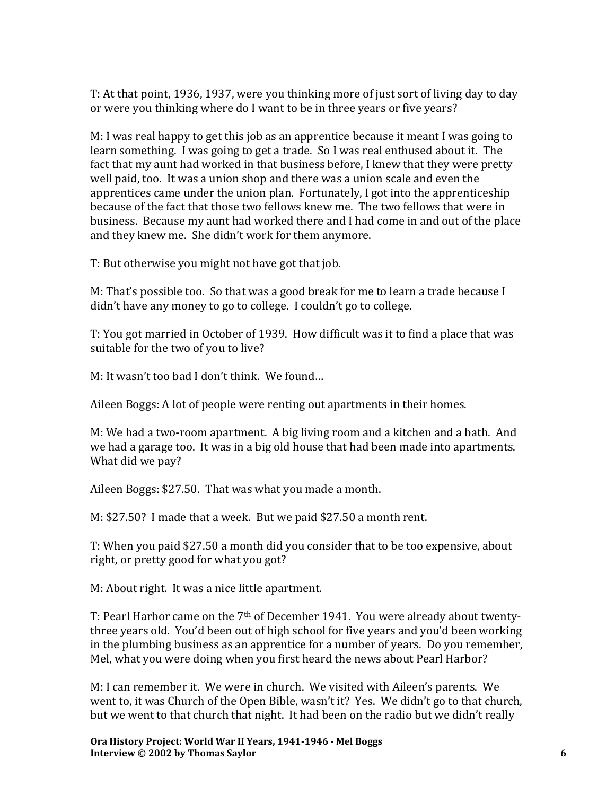T: At that point, 1936, 1937, were you thinking more of just sort of living day to day or were you thinking where do I want to be in three years or five years?

M: I was real happy to get this job as an apprentice because it meant I was going to learn something. I was going to get a trade. So I was real enthused about it. The fact that my aunt had worked in that business before, I knew that they were pretty well paid, too. It was a union shop and there was a union scale and even the apprentices came under the union plan. Fortunately, I got into the apprenticeship because of the fact that those two fellows knew me. The two fellows that were in business. Because my aunt had worked there and I had come in and out of the place and they knew me. She didn't work for them anymore.

T: But otherwise you might not have got that job.

M: That's possible too. So that was a good break for me to learn a trade because I didn't have any money to go to college. I couldn't go to college.

T: You got married in October of 1939. How difficult was it to find a place that was suitable for the two of you to live?

M: It wasn't too bad I don't think. We found…

Aileen Boggs: A lot of people were renting out apartments in their homes.

M: We had a two-room apartment. A big living room and a kitchen and a bath. And we had a garage too. It was in a big old house that had been made into apartments. What did we pay?

Aileen Boggs: \$27.50. That was what you made a month.

M: \$27.50? I made that a week. But we paid \$27.50 a month rent.

T: When you paid \$27.50 a month did you consider that to be too expensive, about right, or pretty good for what you got?

M: About right. It was a nice little apartment.

T: Pearl Harbor came on the 7<sup>th</sup> of December 1941. You were already about twentythree years old. You'd been out of high school for five years and you'd been working in the plumbing business as an apprentice for a number of years. Do you remember, Mel, what you were doing when you first heard the news about Pearl Harbor?

M: I can remember it. We were in church. We visited with Aileen's parents. We went to, it was Church of the Open Bible, wasn't it? Yes. We didn't go to that church, but we went to that church that night. It had been on the radio but we didn't really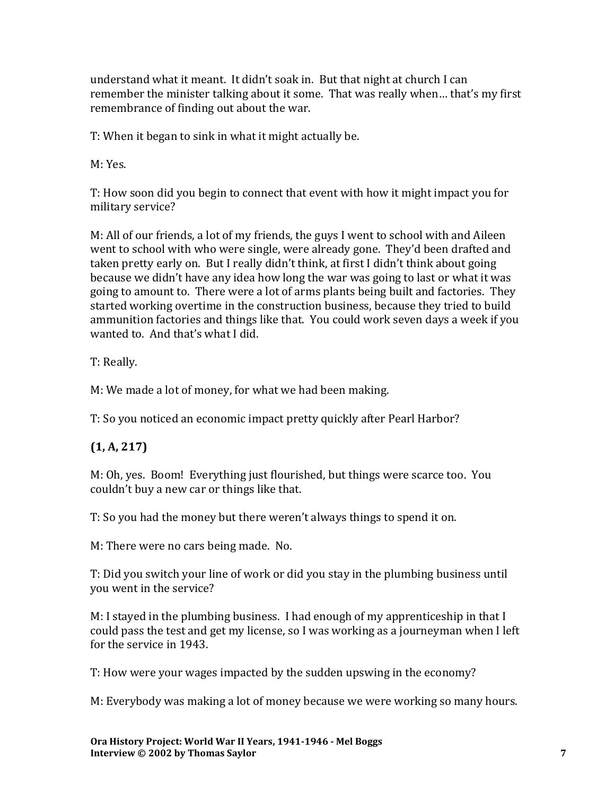understand what it meant. It didn't soak in. But that night at church I can remember the minister talking about it some. That was really when… that's my first remembrance of finding out about the war.

T: When it began to sink in what it might actually be.

M: Yes.

T: How soon did you begin to connect that event with how it might impact you for military service?

M: All of our friends, a lot of my friends, the guys I went to school with and Aileen went to school with who were single, were already gone. They'd been drafted and taken pretty early on. But I really didn't think, at first I didn't think about going because we didn't have any idea how long the war was going to last or what it was going to amount to. There were a lot of arms plants being built and factories. They started working overtime in the construction business, because they tried to build ammunition factories and things like that. You could work seven days a week if you wanted to. And that's what I did.

T: Really.

M: We made a lot of money, for what we had been making.

T: So you noticed an economic impact pretty quickly after Pearl Harbor?

# **(1, A, 217)**

M: Oh, yes. Boom! Everything just flourished, but things were scarce too. You couldn't buy a new car or things like that.

T: So you had the money but there weren't always things to spend it on.

M: There were no cars being made. No.

T: Did you switch your line of work or did you stay in the plumbing business until you went in the service?

M: I stayed in the plumbing business. I had enough of my apprenticeship in that I could pass the test and get my license, so I was working as a journeyman when I left for the service in 1943.

T: How were your wages impacted by the sudden upswing in the economy?

M: Everybody was making a lot of money because we were working so many hours.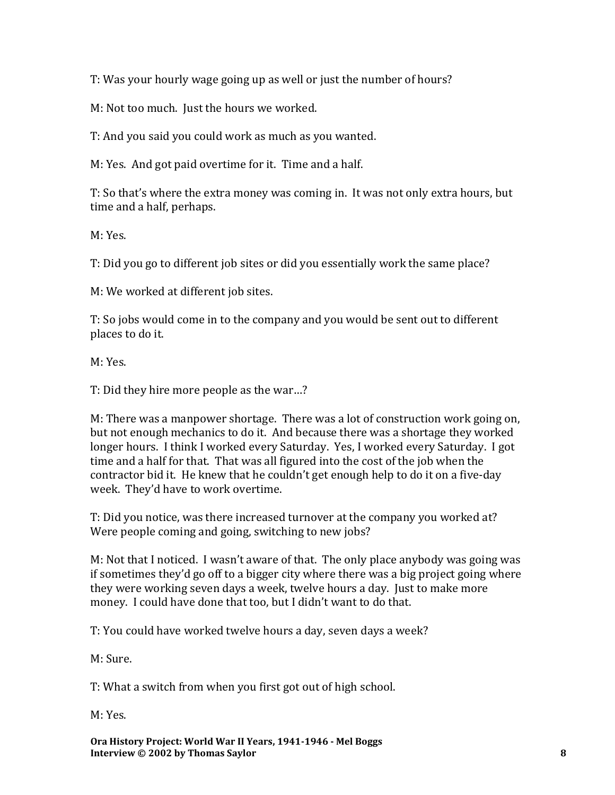T: Was your hourly wage going up as well or just the number of hours?

M: Not too much. Just the hours we worked.

T: And you said you could work as much as you wanted.

M: Yes. And got paid overtime for it. Time and a half.

T: So that's where the extra money was coming in. It was not only extra hours, but time and a half, perhaps.

M: Yes.

T: Did you go to different job sites or did you essentially work the same place?

M: We worked at different job sites.

T: So jobs would come in to the company and you would be sent out to different places to do it.

M: Yes.

T: Did they hire more people as the war…?

M: There was a manpower shortage. There was a lot of construction work going on, but not enough mechanics to do it. And because there was a shortage they worked longer hours. I think I worked every Saturday. Yes, I worked every Saturday. I got time and a half for that. That was all figured into the cost of the job when the contractor bid it. He knew that he couldn't get enough help to do it on a five-day week. They'd have to work overtime.

T: Did you notice, was there increased turnover at the company you worked at? Were people coming and going, switching to new jobs?

M: Not that I noticed. I wasn't aware of that. The only place anybody was going was if sometimes they'd go off to a bigger city where there was a big project going where they were working seven days a week, twelve hours a day. Just to make more money. I could have done that too, but I didn't want to do that.

T: You could have worked twelve hours a day, seven days a week?

M: Sure.

T: What a switch from when you first got out of high school.

M: Yes.

**Ora History Project: World War II Years, 1941-1946 - Mel Boggs Interview © 2002 by Thomas Saylor 8**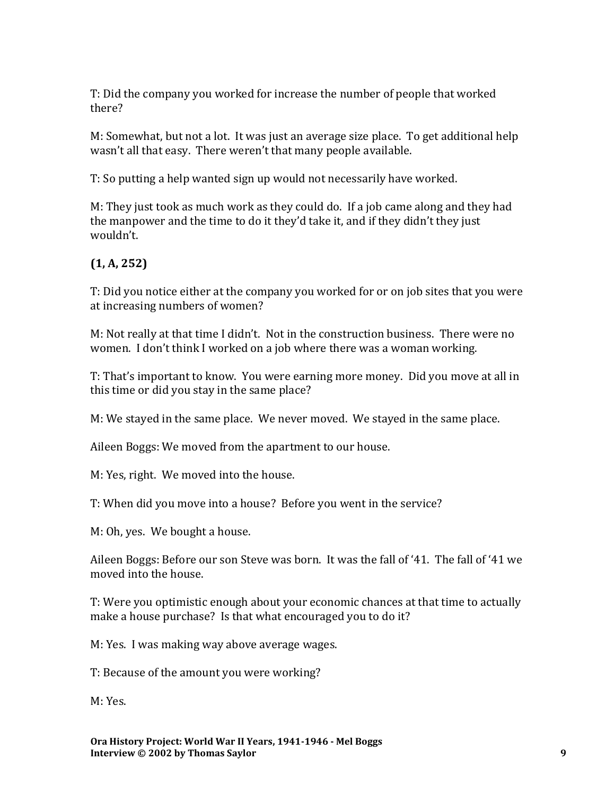T: Did the company you worked for increase the number of people that worked there?

M: Somewhat, but not a lot. It was just an average size place. To get additional help wasn't all that easy. There weren't that many people available.

T: So putting a help wanted sign up would not necessarily have worked.

M: They just took as much work as they could do. If a job came along and they had the manpower and the time to do it they'd take it, and if they didn't they just wouldn't.

# **(1, A, 252)**

T: Did you notice either at the company you worked for or on job sites that you were at increasing numbers of women?

M: Not really at that time I didn't. Not in the construction business. There were no women. I don't think I worked on a job where there was a woman working.

T: That's important to know. You were earning more money. Did you move at all in this time or did you stay in the same place?

M: We stayed in the same place. We never moved. We stayed in the same place.

Aileen Boggs: We moved from the apartment to our house.

M: Yes, right. We moved into the house.

T: When did you move into a house? Before you went in the service?

M: Oh, yes. We bought a house.

Aileen Boggs: Before our son Steve was born. It was the fall of '41. The fall of '41 we moved into the house.

T: Were you optimistic enough about your economic chances at that time to actually make a house purchase? Is that what encouraged you to do it?

M: Yes. I was making way above average wages.

T: Because of the amount you were working?

M: Yes.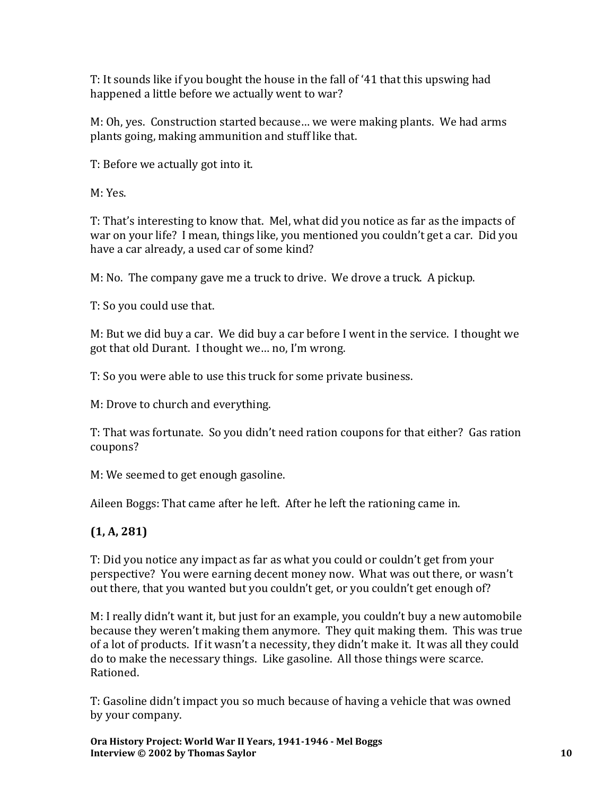T: It sounds like if you bought the house in the fall of '41 that this upswing had happened a little before we actually went to war?

M: Oh, yes. Construction started because… we were making plants. We had arms plants going, making ammunition and stuff like that.

T: Before we actually got into it.

M: Yes.

T: That's interesting to know that. Mel, what did you notice as far as the impacts of war on your life? I mean, things like, you mentioned you couldn't get a car. Did you have a car already, a used car of some kind?

M: No. The company gave me a truck to drive. We drove a truck. A pickup.

T: So you could use that.

M: But we did buy a car. We did buy a car before I went in the service. I thought we got that old Durant. I thought we… no, I'm wrong.

T: So you were able to use this truck for some private business.

M: Drove to church and everything.

T: That was fortunate. So you didn't need ration coupons for that either? Gas ration coupons?

M: We seemed to get enough gasoline.

Aileen Boggs: That came after he left. After he left the rationing came in.

# **(1, A, 281)**

T: Did you notice any impact as far as what you could or couldn't get from your perspective? You were earning decent money now. What was out there, or wasn't out there, that you wanted but you couldn't get, or you couldn't get enough of?

M: I really didn't want it, but just for an example, you couldn't buy a new automobile because they weren't making them anymore. They quit making them. This was true of a lot of products. If it wasn't a necessity, they didn't make it. It was all they could do to make the necessary things. Like gasoline. All those things were scarce. Rationed.

T: Gasoline didn't impact you so much because of having a vehicle that was owned by your company.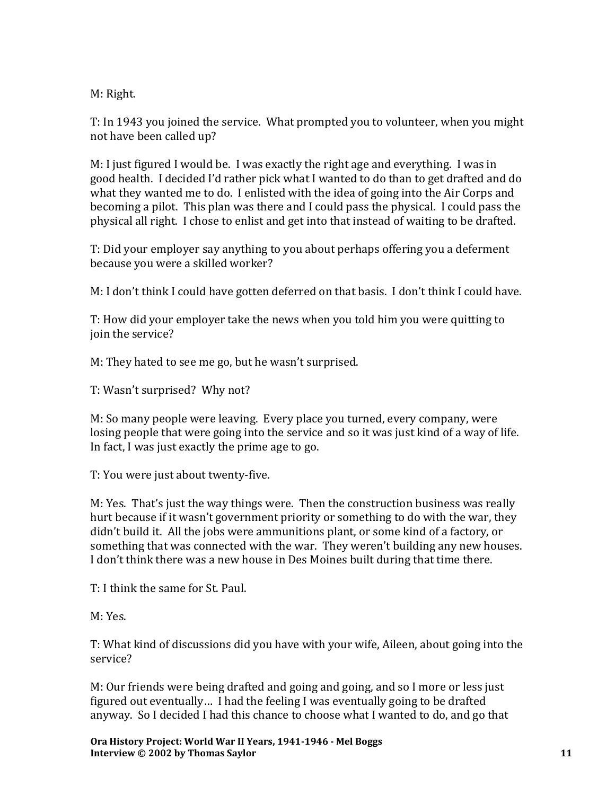M: Right.

T: In 1943 you joined the service. What prompted you to volunteer, when you might not have been called up?

M: I just figured I would be. I was exactly the right age and everything. I was in good health. I decided I'd rather pick what I wanted to do than to get drafted and do what they wanted me to do. I enlisted with the idea of going into the Air Corps and becoming a pilot. This plan was there and I could pass the physical. I could pass the physical all right. I chose to enlist and get into that instead of waiting to be drafted.

T: Did your employer say anything to you about perhaps offering you a deferment because you were a skilled worker?

M: I don't think I could have gotten deferred on that basis. I don't think I could have.

T: How did your employer take the news when you told him you were quitting to join the service?

M: They hated to see me go, but he wasn't surprised.

T: Wasn't surprised? Why not?

M: So many people were leaving. Every place you turned, every company, were losing people that were going into the service and so it was just kind of a way of life. In fact, I was just exactly the prime age to go.

T: You were just about twenty-five.

M: Yes. That's just the way things were. Then the construction business was really hurt because if it wasn't government priority or something to do with the war, they didn't build it. All the jobs were ammunitions plant, or some kind of a factory, or something that was connected with the war. They weren't building any new houses. I don't think there was a new house in Des Moines built during that time there.

T: I think the same for St. Paul.

M: Yes.

T: What kind of discussions did you have with your wife, Aileen, about going into the service?

M: Our friends were being drafted and going and going, and so I more or less just figured out eventually… I had the feeling I was eventually going to be drafted anyway. So I decided I had this chance to choose what I wanted to do, and go that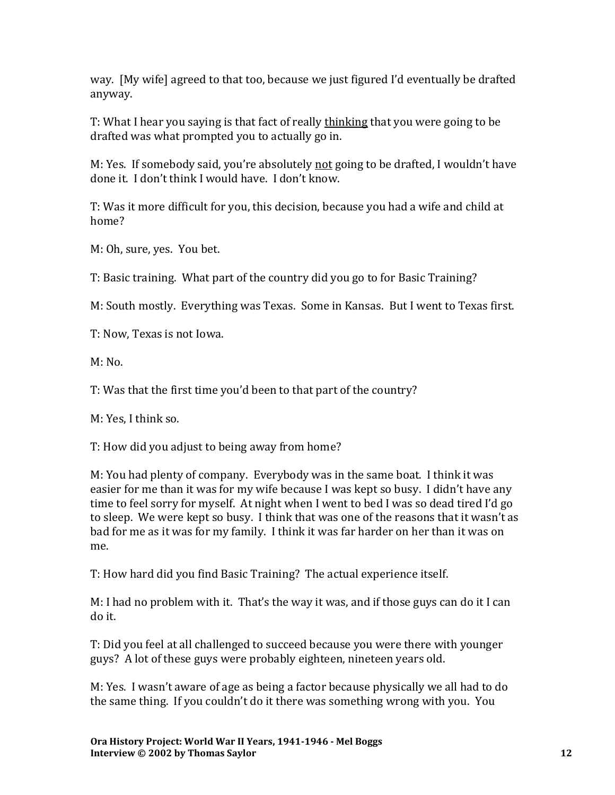way. [My wife] agreed to that too, because we just figured I'd eventually be drafted anyway.

T: What I hear you saying is that fact of really thinking that you were going to be drafted was what prompted you to actually go in.

M: Yes. If somebody said, you're absolutely not going to be drafted, I wouldn't have done it. I don't think I would have. I don't know.

T: Was it more difficult for you, this decision, because you had a wife and child at home?

M: Oh, sure, yes. You bet.

T: Basic training. What part of the country did you go to for Basic Training?

M: South mostly. Everything was Texas. Some in Kansas. But I went to Texas first.

T: Now, Texas is not Iowa.

 $M: No.$ 

T: Was that the first time you'd been to that part of the country?

M: Yes, I think so.

T: How did you adjust to being away from home?

M: You had plenty of company. Everybody was in the same boat. I think it was easier for me than it was for my wife because I was kept so busy. I didn't have any time to feel sorry for myself. At night when I went to bed I was so dead tired I'd go to sleep. We were kept so busy. I think that was one of the reasons that it wasn't as bad for me as it was for my family. I think it was far harder on her than it was on me.

T: How hard did you find Basic Training? The actual experience itself.

M: I had no problem with it. That's the way it was, and if those guys can do it I can do it.

T: Did you feel at all challenged to succeed because you were there with younger guys? A lot of these guys were probably eighteen, nineteen years old.

M: Yes. I wasn't aware of age as being a factor because physically we all had to do the same thing. If you couldn't do it there was something wrong with you. You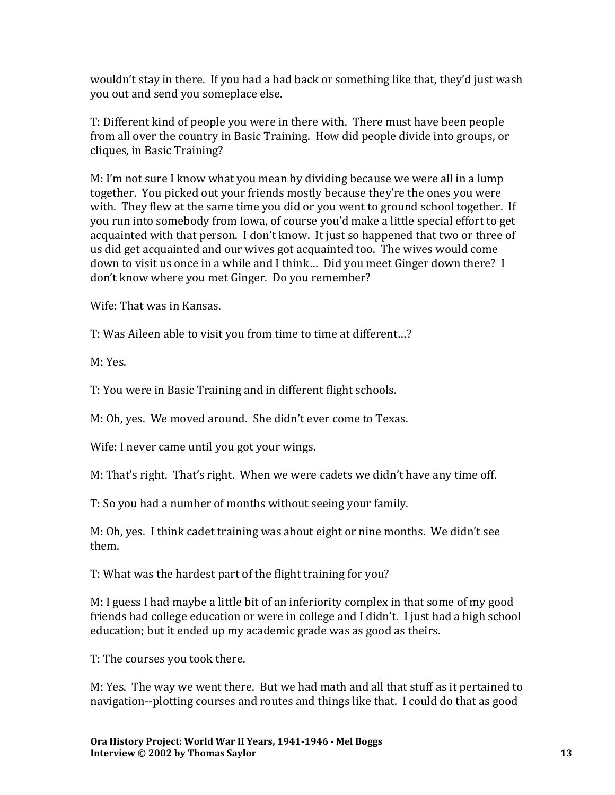wouldn't stay in there. If you had a bad back or something like that, they'd just wash you out and send you someplace else.

T: Different kind of people you were in there with. There must have been people from all over the country in Basic Training. How did people divide into groups, or cliques, in Basic Training?

M: I'm not sure I know what you mean by dividing because we were all in a lump together. You picked out your friends mostly because they're the ones you were with. They flew at the same time you did or you went to ground school together. If you run into somebody from Iowa, of course you'd make a little special effort to get acquainted with that person. I don't know. It just so happened that two or three of us did get acquainted and our wives got acquainted too. The wives would come down to visit us once in a while and I think… Did you meet Ginger down there? I don't know where you met Ginger. Do you remember?

Wife: That was in Kansas.

T: Was Aileen able to visit you from time to time at different…?

M: Yes.

T: You were in Basic Training and in different flight schools.

M: Oh, yes. We moved around. She didn't ever come to Texas.

Wife: I never came until you got your wings.

M: That's right. That's right. When we were cadets we didn't have any time off.

T: So you had a number of months without seeing your family.

M: Oh, yes. I think cadet training was about eight or nine months. We didn't see them.

T: What was the hardest part of the flight training for you?

M: I guess I had maybe a little bit of an inferiority complex in that some of my good friends had college education or were in college and I didn't. I just had a high school education; but it ended up my academic grade was as good as theirs.

T: The courses you took there.

M: Yes. The way we went there. But we had math and all that stuff as it pertained to navigation--plotting courses and routes and things like that. I could do that as good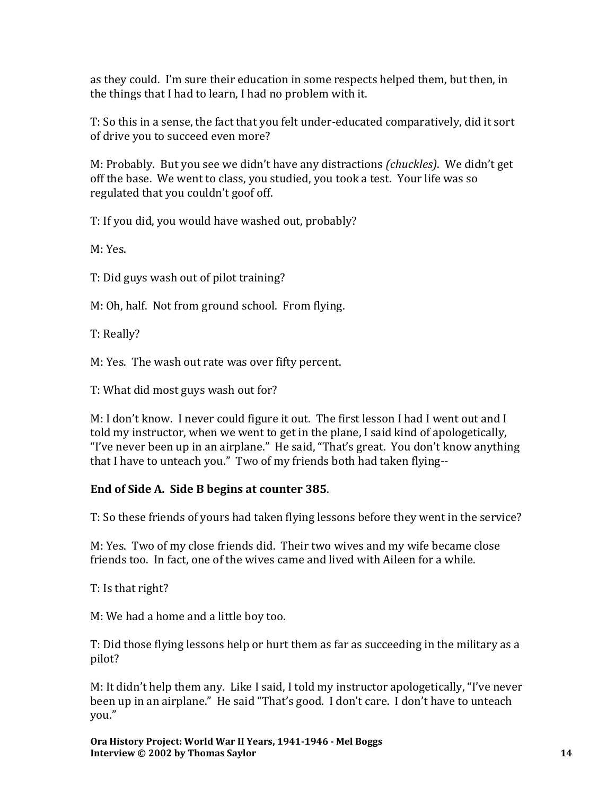as they could. I'm sure their education in some respects helped them, but then, in the things that I had to learn, I had no problem with it.

T: So this in a sense, the fact that you felt under-educated comparatively, did it sort of drive you to succeed even more?

M: Probably. But you see we didn't have any distractions *(chuckles)*. We didn't get off the base. We went to class, you studied, you took a test. Your life was so regulated that you couldn't goof off.

T: If you did, you would have washed out, probably?

M: Yes.

T: Did guys wash out of pilot training?

M: Oh, half. Not from ground school. From flying.

T: Really?

M: Yes. The wash out rate was over fifty percent.

T: What did most guys wash out for?

M: I don't know. I never could figure it out. The first lesson I had I went out and I told my instructor, when we went to get in the plane, I said kind of apologetically, "I've never been up in an airplane." He said, "That's great. You don't know anything that I have to unteach you." Two of my friends both had taken flying--

# **End of Side A. Side B begins at counter 385**.

T: So these friends of yours had taken flying lessons before they went in the service?

M: Yes. Two of my close friends did. Their two wives and my wife became close friends too. In fact, one of the wives came and lived with Aileen for a while.

T: Is that right?

M: We had a home and a little boy too.

T: Did those flying lessons help or hurt them as far as succeeding in the military as a pilot?

M: It didn't help them any. Like I said, I told my instructor apologetically, "I've never been up in an airplane." He said "That's good. I don't care. I don't have to unteach you."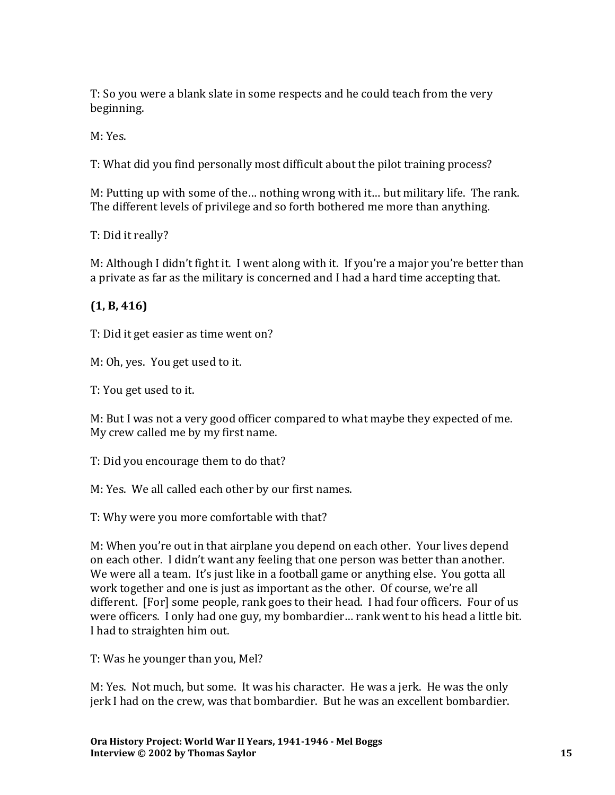T: So you were a blank slate in some respects and he could teach from the very beginning.

M: Yes.

T: What did you find personally most difficult about the pilot training process?

M: Putting up with some of the… nothing wrong with it… but military life. The rank. The different levels of privilege and so forth bothered me more than anything.

T: Did it really?

M: Although I didn't fight it. I went along with it. If you're a major you're better than a private as far as the military is concerned and I had a hard time accepting that.

## **(1, B, 416)**

T: Did it get easier as time went on?

M: Oh, yes. You get used to it.

T: You get used to it.

M: But I was not a very good officer compared to what maybe they expected of me. My crew called me by my first name.

T: Did you encourage them to do that?

M: Yes. We all called each other by our first names.

T: Why were you more comfortable with that?

M: When you're out in that airplane you depend on each other. Your lives depend on each other. I didn't want any feeling that one person was better than another. We were all a team. It's just like in a football game or anything else. You gotta all work together and one is just as important as the other. Of course, we're all different. [For] some people, rank goes to their head. I had four officers. Four of us were officers. I only had one guy, my bombardier… rank went to his head a little bit. I had to straighten him out.

T: Was he younger than you, Mel?

M: Yes. Not much, but some. It was his character. He was a jerk. He was the only jerk I had on the crew, was that bombardier. But he was an excellent bombardier.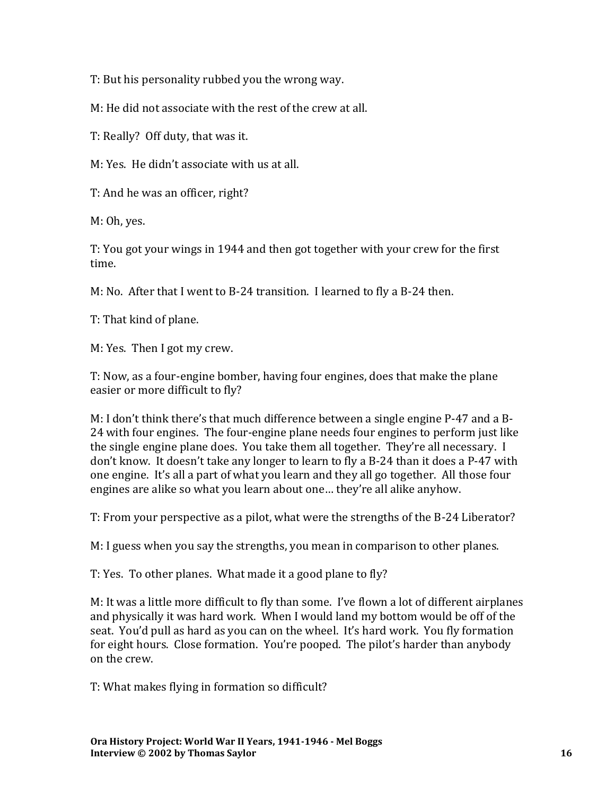T: But his personality rubbed you the wrong way.

M: He did not associate with the rest of the crew at all.

T: Really? Off duty, that was it.

M: Yes. He didn't associate with us at all.

T: And he was an officer, right?

M: Oh, yes.

T: You got your wings in 1944 and then got together with your crew for the first time.

M: No. After that I went to B-24 transition. I learned to fly a B-24 then.

T: That kind of plane.

M: Yes. Then I got my crew.

T: Now, as a four-engine bomber, having four engines, does that make the plane easier or more difficult to fly?

M: I don't think there's that much difference between a single engine P-47 and a B-24 with four engines. The four-engine plane needs four engines to perform just like the single engine plane does. You take them all together. They're all necessary. I don't know. It doesn't take any longer to learn to fly a B-24 than it does a P-47 with one engine. It's all a part of what you learn and they all go together. All those four engines are alike so what you learn about one… they're all alike anyhow.

T: From your perspective as a pilot, what were the strengths of the B-24 Liberator?

M: I guess when you say the strengths, you mean in comparison to other planes.

T: Yes. To other planes. What made it a good plane to fly?

M: It was a little more difficult to fly than some. I've flown a lot of different airplanes and physically it was hard work. When I would land my bottom would be off of the seat. You'd pull as hard as you can on the wheel. It's hard work. You fly formation for eight hours. Close formation. You're pooped. The pilot's harder than anybody on the crew.

T: What makes flying in formation so difficult?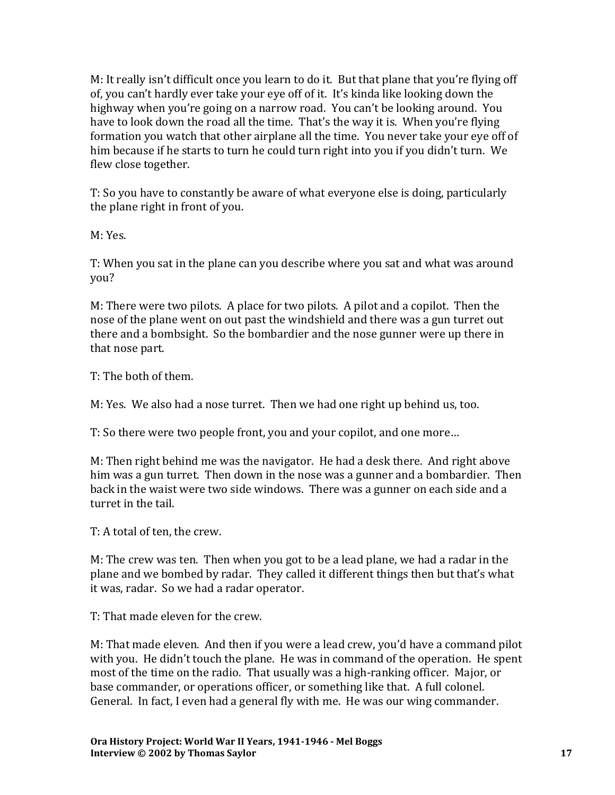M: It really isn't difficult once you learn to do it. But that plane that you're flying off of, you can't hardly ever take your eye off of it. It's kinda like looking down the highway when you're going on a narrow road. You can't be looking around. You have to look down the road all the time. That's the way it is. When you're flying formation you watch that other airplane all the time. You never take your eye off of him because if he starts to turn he could turn right into you if you didn't turn. We flew close together.

T: So you have to constantly be aware of what everyone else is doing, particularly the plane right in front of you.

M: Yes.

T: When you sat in the plane can you describe where you sat and what was around you?

M: There were two pilots. A place for two pilots. A pilot and a copilot. Then the nose of the plane went on out past the windshield and there was a gun turret out there and a bombsight. So the bombardier and the nose gunner were up there in that nose part.

T: The both of them.

M: Yes. We also had a nose turret. Then we had one right up behind us, too.

T: So there were two people front, you and your copilot, and one more…

M: Then right behind me was the navigator. He had a desk there. And right above him was a gun turret. Then down in the nose was a gunner and a bombardier. Then back in the waist were two side windows. There was a gunner on each side and a turret in the tail.

T: A total of ten, the crew.

M: The crew was ten. Then when you got to be a lead plane, we had a radar in the plane and we bombed by radar. They called it different things then but that's what it was, radar. So we had a radar operator.

T: That made eleven for the crew.

M: That made eleven. And then if you were a lead crew, you'd have a command pilot with you. He didn't touch the plane. He was in command of the operation. He spent most of the time on the radio. That usually was a high-ranking officer. Major, or base commander, or operations officer, or something like that. A full colonel. General. In fact, I even had a general fly with me. He was our wing commander.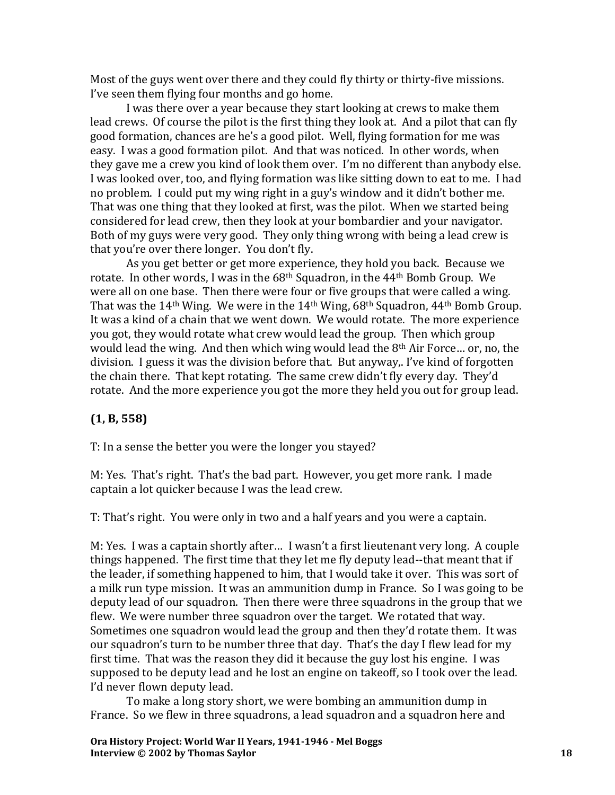Most of the guys went over there and they could fly thirty or thirty-five missions. I've seen them flying four months and go home.

I was there over a year because they start looking at crews to make them lead crews. Of course the pilot is the first thing they look at. And a pilot that can fly good formation, chances are he's a good pilot. Well, flying formation for me was easy. I was a good formation pilot. And that was noticed. In other words, when they gave me a crew you kind of look them over. I'm no different than anybody else. I was looked over, too, and flying formation was like sitting down to eat to me. I had no problem. I could put my wing right in a guy's window and it didn't bother me. That was one thing that they looked at first, was the pilot. When we started being considered for lead crew, then they look at your bombardier and your navigator. Both of my guys were very good. They only thing wrong with being a lead crew is that you're over there longer. You don't fly.

As you get better or get more experience, they hold you back. Because we rotate. In other words, I was in the 68<sup>th</sup> Squadron, in the 44<sup>th</sup> Bomb Group. We were all on one base. Then there were four or five groups that were called a wing. That was the 14<sup>th</sup> Wing. We were in the 14<sup>th</sup> Wing,  $68<sup>th</sup>$  Squadron, 44<sup>th</sup> Bomb Group. It was a kind of a chain that we went down. We would rotate. The more experience you got, they would rotate what crew would lead the group. Then which group would lead the wing. And then which wing would lead the 8th Air Force… or, no, the division. I guess it was the division before that. But anyway,. I've kind of forgotten the chain there. That kept rotating. The same crew didn't fly every day. They'd rotate. And the more experience you got the more they held you out for group lead.

### **(1, B, 558)**

T: In a sense the better you were the longer you stayed?

M: Yes. That's right. That's the bad part. However, you get more rank. I made captain a lot quicker because I was the lead crew.

T: That's right. You were only in two and a half years and you were a captain.

M: Yes. I was a captain shortly after… I wasn't a first lieutenant very long. A couple things happened. The first time that they let me fly deputy lead--that meant that if the leader, if something happened to him, that I would take it over. This was sort of a milk run type mission. It was an ammunition dump in France. So I was going to be deputy lead of our squadron. Then there were three squadrons in the group that we flew. We were number three squadron over the target. We rotated that way. Sometimes one squadron would lead the group and then they'd rotate them. It was our squadron's turn to be number three that day. That's the day I flew lead for my first time. That was the reason they did it because the guy lost his engine. I was supposed to be deputy lead and he lost an engine on takeoff, so I took over the lead. I'd never flown deputy lead.

To make a long story short, we were bombing an ammunition dump in France. So we flew in three squadrons, a lead squadron and a squadron here and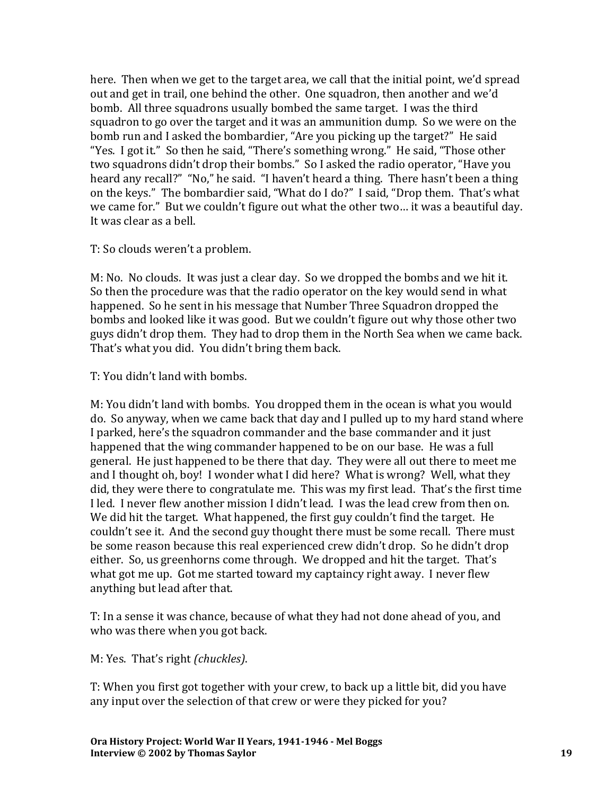here. Then when we get to the target area, we call that the initial point, we'd spread out and get in trail, one behind the other. One squadron, then another and we'd bomb. All three squadrons usually bombed the same target. I was the third squadron to go over the target and it was an ammunition dump. So we were on the bomb run and I asked the bombardier, "Are you picking up the target?" He said "Yes. I got it." So then he said, "There's something wrong." He said, "Those other two squadrons didn't drop their bombs." So I asked the radio operator, "Have you heard any recall?" "No," he said. "I haven't heard a thing. There hasn't been a thing on the keys." The bombardier said, "What do I do?" I said, "Drop them. That's what we came for." But we couldn't figure out what the other two… it was a beautiful day. It was clear as a bell.

T: So clouds weren't a problem.

M: No. No clouds. It was just a clear day. So we dropped the bombs and we hit it. So then the procedure was that the radio operator on the key would send in what happened. So he sent in his message that Number Three Squadron dropped the bombs and looked like it was good. But we couldn't figure out why those other two guys didn't drop them. They had to drop them in the North Sea when we came back. That's what you did. You didn't bring them back.

T: You didn't land with bombs.

M: You didn't land with bombs. You dropped them in the ocean is what you would do. So anyway, when we came back that day and I pulled up to my hard stand where I parked, here's the squadron commander and the base commander and it just happened that the wing commander happened to be on our base. He was a full general. He just happened to be there that day. They were all out there to meet me and I thought oh, boy! I wonder what I did here? What is wrong? Well, what they did, they were there to congratulate me. This was my first lead. That's the first time I led. I never flew another mission I didn't lead. I was the lead crew from then on. We did hit the target. What happened, the first guy couldn't find the target. He couldn't see it. And the second guy thought there must be some recall. There must be some reason because this real experienced crew didn't drop. So he didn't drop either. So, us greenhorns come through. We dropped and hit the target. That's what got me up. Got me started toward my captaincy right away. I never flew anything but lead after that.

T: In a sense it was chance, because of what they had not done ahead of you, and who was there when you got back.

M: Yes. That's right *(chuckles)*.

T: When you first got together with your crew, to back up a little bit, did you have any input over the selection of that crew or were they picked for you?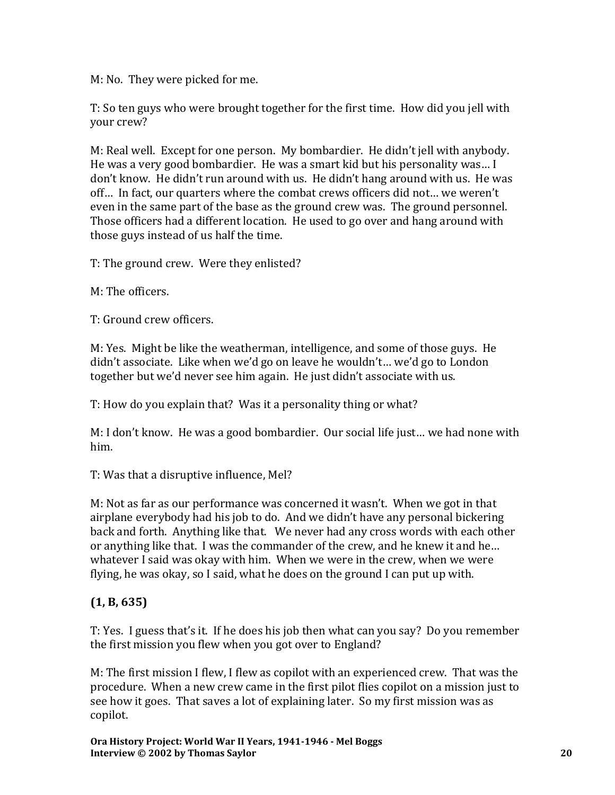M: No. They were picked for me.

T: So ten guys who were brought together for the first time. How did you jell with your crew?

M: Real well. Except for one person. My bombardier. He didn't jell with anybody. He was a very good bombardier. He was a smart kid but his personality was… I don't know. He didn't run around with us. He didn't hang around with us. He was off… In fact, our quarters where the combat crews officers did not… we weren't even in the same part of the base as the ground crew was. The ground personnel. Those officers had a different location. He used to go over and hang around with those guys instead of us half the time.

T: The ground crew. Were they enlisted?

M: The officers.

T: Ground crew officers.

M: Yes. Might be like the weatherman, intelligence, and some of those guys. He didn't associate. Like when we'd go on leave he wouldn't… we'd go to London together but we'd never see him again. He just didn't associate with us.

T: How do you explain that? Was it a personality thing or what?

M: I don't know. He was a good bombardier. Our social life just… we had none with him.

T: Was that a disruptive influence, Mel?

M: Not as far as our performance was concerned it wasn't. When we got in that airplane everybody had his job to do. And we didn't have any personal bickering back and forth. Anything like that. We never had any cross words with each other or anything like that. I was the commander of the crew, and he knew it and he… whatever I said was okay with him. When we were in the crew, when we were flying, he was okay, so I said, what he does on the ground I can put up with.

### **(1, B, 635)**

T: Yes. I guess that's it. If he does his job then what can you say? Do you remember the first mission you flew when you got over to England?

M: The first mission I flew, I flew as copilot with an experienced crew. That was the procedure. When a new crew came in the first pilot flies copilot on a mission just to see how it goes. That saves a lot of explaining later. So my first mission was as copilot.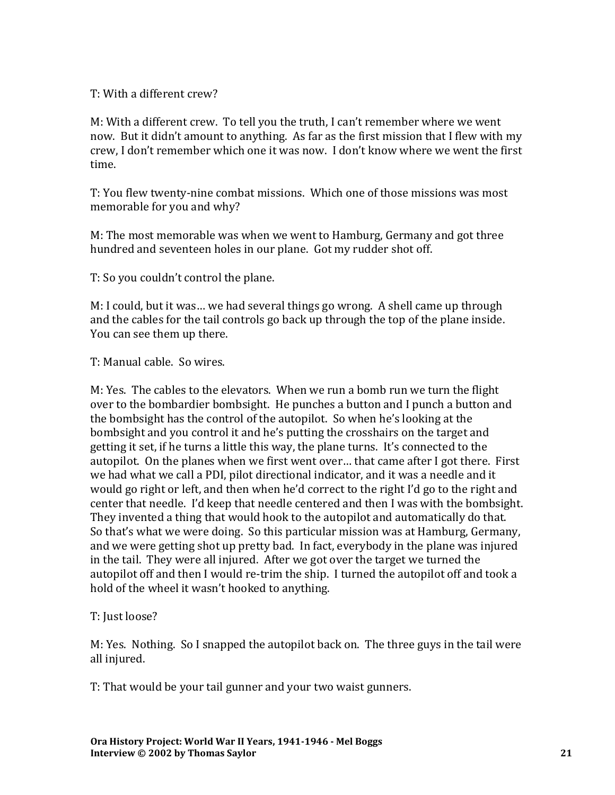#### T: With a different crew?

M: With a different crew. To tell you the truth, I can't remember where we went now. But it didn't amount to anything. As far as the first mission that I flew with my crew, I don't remember which one it was now. I don't know where we went the first time.

T: You flew twenty-nine combat missions. Which one of those missions was most memorable for you and why?

M: The most memorable was when we went to Hamburg, Germany and got three hundred and seventeen holes in our plane. Got my rudder shot off.

T: So you couldn't control the plane.

M: I could, but it was… we had several things go wrong. A shell came up through and the cables for the tail controls go back up through the top of the plane inside. You can see them up there.

T: Manual cable. So wires.

M: Yes. The cables to the elevators. When we run a bomb run we turn the flight over to the bombardier bombsight. He punches a button and I punch a button and the bombsight has the control of the autopilot. So when he's looking at the bombsight and you control it and he's putting the crosshairs on the target and getting it set, if he turns a little this way, the plane turns. It's connected to the autopilot. On the planes when we first went over… that came after I got there. First we had what we call a PDI, pilot directional indicator, and it was a needle and it would go right or left, and then when he'd correct to the right I'd go to the right and center that needle. I'd keep that needle centered and then I was with the bombsight. They invented a thing that would hook to the autopilot and automatically do that. So that's what we were doing. So this particular mission was at Hamburg, Germany, and we were getting shot up pretty bad. In fact, everybody in the plane was injured in the tail. They were all injured. After we got over the target we turned the autopilot off and then I would re-trim the ship. I turned the autopilot off and took a hold of the wheel it wasn't hooked to anything.

#### T: Just loose?

M: Yes. Nothing. So I snapped the autopilot back on. The three guys in the tail were all injured.

T: That would be your tail gunner and your two waist gunners.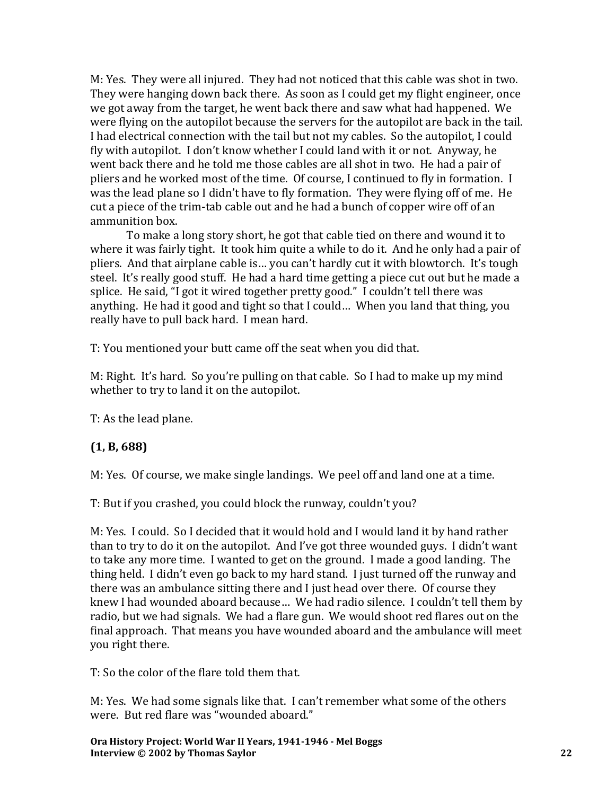M: Yes. They were all injured. They had not noticed that this cable was shot in two. They were hanging down back there. As soon as I could get my flight engineer, once we got away from the target, he went back there and saw what had happened. We were flying on the autopilot because the servers for the autopilot are back in the tail. I had electrical connection with the tail but not my cables. So the autopilot, I could fly with autopilot. I don't know whether I could land with it or not. Anyway, he went back there and he told me those cables are all shot in two. He had a pair of pliers and he worked most of the time. Of course, I continued to fly in formation. I was the lead plane so I didn't have to fly formation. They were flying off of me. He cut a piece of the trim-tab cable out and he had a bunch of copper wire off of an ammunition box.

To make a long story short, he got that cable tied on there and wound it to where it was fairly tight. It took him quite a while to do it. And he only had a pair of pliers. And that airplane cable is… you can't hardly cut it with blowtorch. It's tough steel. It's really good stuff. He had a hard time getting a piece cut out but he made a splice. He said, "I got it wired together pretty good." I couldn't tell there was anything. He had it good and tight so that I could… When you land that thing, you really have to pull back hard. I mean hard.

T: You mentioned your butt came off the seat when you did that.

M: Right. It's hard. So you're pulling on that cable. So I had to make up my mind whether to try to land it on the autopilot.

T: As the lead plane.

#### **(1, B, 688)**

M: Yes. Of course, we make single landings. We peel off and land one at a time.

T: But if you crashed, you could block the runway, couldn't you?

M: Yes. I could. So I decided that it would hold and I would land it by hand rather than to try to do it on the autopilot. And I've got three wounded guys. I didn't want to take any more time. I wanted to get on the ground. I made a good landing. The thing held. I didn't even go back to my hard stand. I just turned off the runway and there was an ambulance sitting there and I just head over there. Of course they knew I had wounded aboard because… We had radio silence. I couldn't tell them by radio, but we had signals. We had a flare gun. We would shoot red flares out on the final approach. That means you have wounded aboard and the ambulance will meet you right there.

T: So the color of the flare told them that.

M: Yes. We had some signals like that. I can't remember what some of the others were. But red flare was "wounded aboard."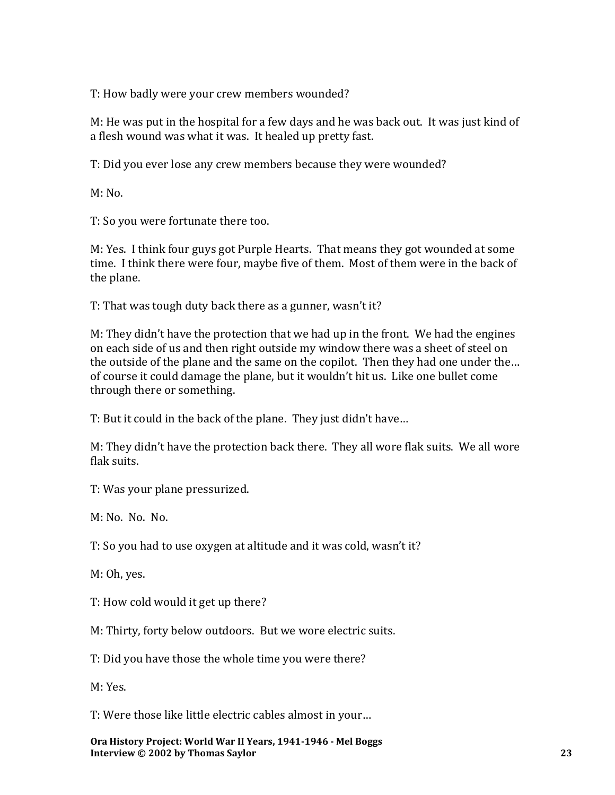T: How badly were your crew members wounded?

M: He was put in the hospital for a few days and he was back out. It was just kind of a flesh wound was what it was. It healed up pretty fast.

T: Did you ever lose any crew members because they were wounded?

M: No.

T: So you were fortunate there too.

M: Yes. I think four guys got Purple Hearts. That means they got wounded at some time. I think there were four, maybe five of them. Most of them were in the back of the plane.

T: That was tough duty back there as a gunner, wasn't it?

M: They didn't have the protection that we had up in the front. We had the engines on each side of us and then right outside my window there was a sheet of steel on the outside of the plane and the same on the copilot. Then they had one under the… of course it could damage the plane, but it wouldn't hit us. Like one bullet come through there or something.

T: But it could in the back of the plane. They just didn't have…

M: They didn't have the protection back there. They all wore flak suits. We all wore flak suits.

T: Was your plane pressurized.

M: No. No. No.

T: So you had to use oxygen at altitude and it was cold, wasn't it?

M: Oh, yes.

T: How cold would it get up there?

M: Thirty, forty below outdoors. But we wore electric suits.

T: Did you have those the whole time you were there?

M: Yes.

T: Were those like little electric cables almost in your…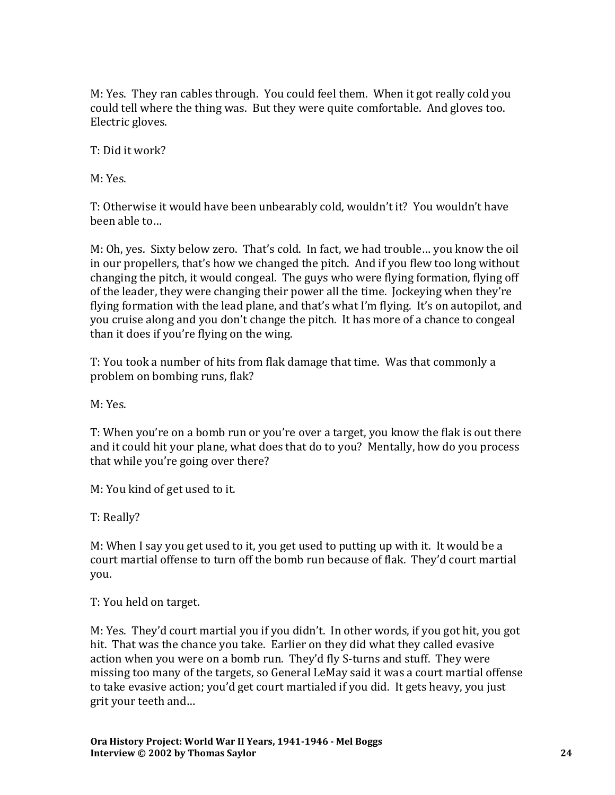M: Yes. They ran cables through. You could feel them. When it got really cold you could tell where the thing was. But they were quite comfortable. And gloves too. Electric gloves.

T: Did it work?

M: Yes.

T: Otherwise it would have been unbearably cold, wouldn't it? You wouldn't have been able to…

M: Oh, yes. Sixty below zero. That's cold. In fact, we had trouble… you know the oil in our propellers, that's how we changed the pitch. And if you flew too long without changing the pitch, it would congeal. The guys who were flying formation, flying off of the leader, they were changing their power all the time. Jockeying when they're flying formation with the lead plane, and that's what I'm flying. It's on autopilot, and you cruise along and you don't change the pitch. It has more of a chance to congeal than it does if you're flying on the wing.

T: You took a number of hits from flak damage that time. Was that commonly a problem on bombing runs, flak?

M: Yes.

T: When you're on a bomb run or you're over a target, you know the flak is out there and it could hit your plane, what does that do to you? Mentally, how do you process that while you're going over there?

M: You kind of get used to it.

T: Really?

M: When I say you get used to it, you get used to putting up with it. It would be a court martial offense to turn off the bomb run because of flak. They'd court martial you.

T: You held on target.

M: Yes. They'd court martial you if you didn't. In other words, if you got hit, you got hit. That was the chance you take. Earlier on they did what they called evasive action when you were on a bomb run. They'd fly S-turns and stuff. They were missing too many of the targets, so General LeMay said it was a court martial offense to take evasive action; you'd get court martialed if you did. It gets heavy, you just grit your teeth and…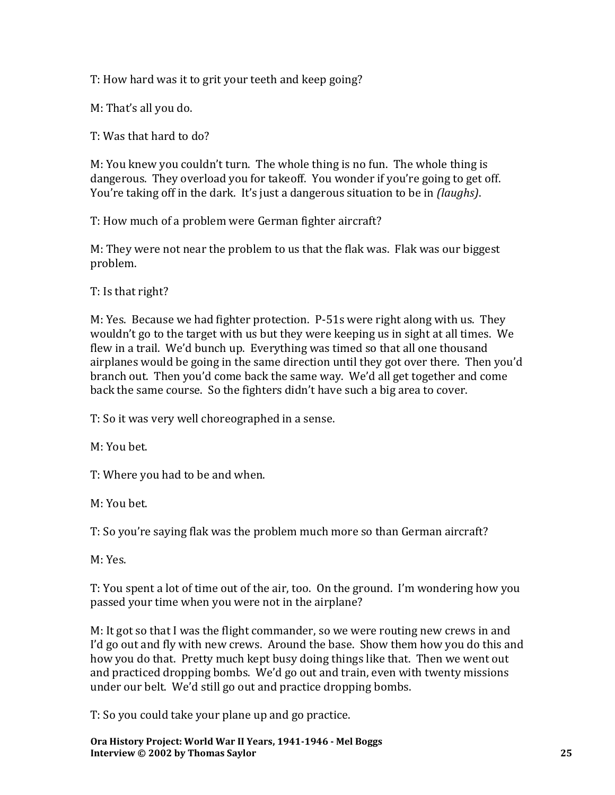T: How hard was it to grit your teeth and keep going?

M: That's all you do.

T: Was that hard to do?

M: You knew you couldn't turn. The whole thing is no fun. The whole thing is dangerous. They overload you for takeoff. You wonder if you're going to get off. You're taking off in the dark. It's just a dangerous situation to be in *(laughs)*.

T: How much of a problem were German fighter aircraft?

M: They were not near the problem to us that the flak was. Flak was our biggest problem.

T: Is that right?

M: Yes. Because we had fighter protection. P-51s were right along with us. They wouldn't go to the target with us but they were keeping us in sight at all times. We flew in a trail. We'd bunch up. Everything was timed so that all one thousand airplanes would be going in the same direction until they got over there. Then you'd branch out. Then you'd come back the same way. We'd all get together and come back the same course. So the fighters didn't have such a big area to cover.

T: So it was very well choreographed in a sense.

M: You bet.

T: Where you had to be and when.

M: You bet.

T: So you're saying flak was the problem much more so than German aircraft?

M: Yes.

T: You spent a lot of time out of the air, too. On the ground. I'm wondering how you passed your time when you were not in the airplane?

M: It got so that I was the flight commander, so we were routing new crews in and I'd go out and fly with new crews. Around the base. Show them how you do this and how you do that. Pretty much kept busy doing things like that. Then we went out and practiced dropping bombs. We'd go out and train, even with twenty missions under our belt. We'd still go out and practice dropping bombs.

T: So you could take your plane up and go practice.

**Ora History Project: World War II Years, 1941-1946 - Mel Boggs Interview © 2002 by Thomas Saylor 25**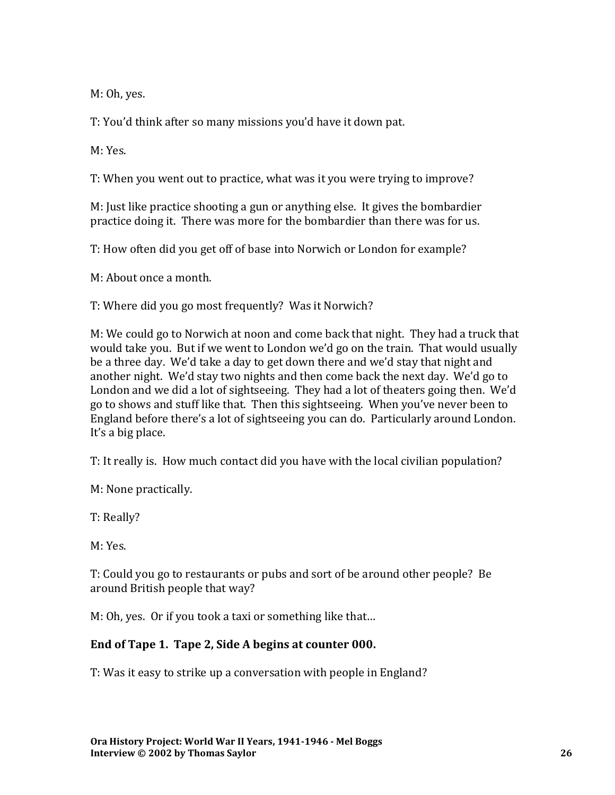M: Oh, yes.

T: You'd think after so many missions you'd have it down pat.

M: Yes.

T: When you went out to practice, what was it you were trying to improve?

M: Just like practice shooting a gun or anything else. It gives the bombardier practice doing it. There was more for the bombardier than there was for us.

T: How often did you get off of base into Norwich or London for example?

M: About once a month.

T: Where did you go most frequently? Was it Norwich?

M: We could go to Norwich at noon and come back that night. They had a truck that would take you. But if we went to London we'd go on the train. That would usually be a three day. We'd take a day to get down there and we'd stay that night and another night. We'd stay two nights and then come back the next day. We'd go to London and we did a lot of sightseeing. They had a lot of theaters going then. We'd go to shows and stuff like that. Then this sightseeing. When you've never been to England before there's a lot of sightseeing you can do. Particularly around London. It's a big place.

T: It really is. How much contact did you have with the local civilian population?

M: None practically.

T: Really?

M: Yes.

T: Could you go to restaurants or pubs and sort of be around other people? Be around British people that way?

M: Oh, yes. Or if you took a taxi or something like that…

#### **End of Tape 1. Tape 2, Side A begins at counter 000.**

T: Was it easy to strike up a conversation with people in England?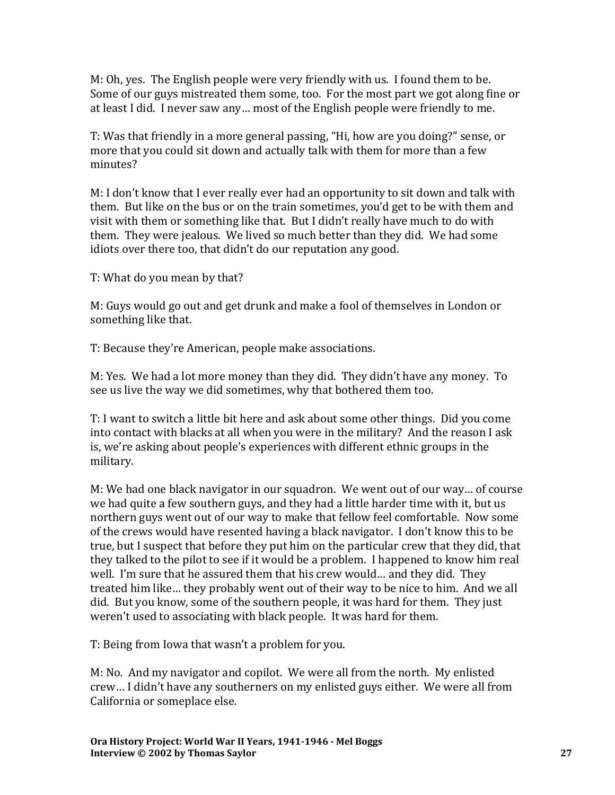M: Oh, yes. The English people were very friendly with us. I found them to be. Some of our guys mistreated them some, too. For the most part we got along fine or at least I did. I never saw any… most of the English people were friendly to me.

T: Was that friendly in a more general passing, "Hi, how are you doing?" sense, or more that you could sit down and actually talk with them for more than a few minutes?

M: I don't know that I ever really ever had an opportunity to sit down and talk with them. But like on the bus or on the train sometimes, you'd get to be with them and visit with them or something like that. But I didn't really have much to do with them. They were jealous. We lived so much better than they did. We had some idiots over there too, that didn't do our reputation any good.

T: What do you mean by that?

M: Guys would go out and get drunk and make a fool of themselves in London or something like that.

T: Because they're American, people make associations.

M: Yes. We had a lot more money than they did. They didn't have any money. To see us live the way we did sometimes, why that bothered them too.

T: I want to switch a little bit here and ask about some other things. Did you come into contact with blacks at all when you were in the military? And the reason I ask is, we're asking about people's experiences with different ethnic groups in the military.

M: We had one black navigator in our squadron. We went out of our way… of course we had quite a few southern guys, and they had a little harder time with it, but us northern guys went out of our way to make that fellow feel comfortable. Now some of the crews would have resented having a black navigator. I don't know this to be true, but I suspect that before they put him on the particular crew that they did, that they talked to the pilot to see if it would be a problem. I happened to know him real well. I'm sure that he assured them that his crew would… and they did. They treated him like… they probably went out of their way to be nice to him. And we all did. But you know, some of the southern people, it was hard for them. They just weren't used to associating with black people. It was hard for them.

T: Being from Iowa that wasn't a problem for you.

M: No. And my navigator and copilot. We were all from the north. My enlisted crew… I didn't have any southerners on my enlisted guys either. We were all from California or someplace else.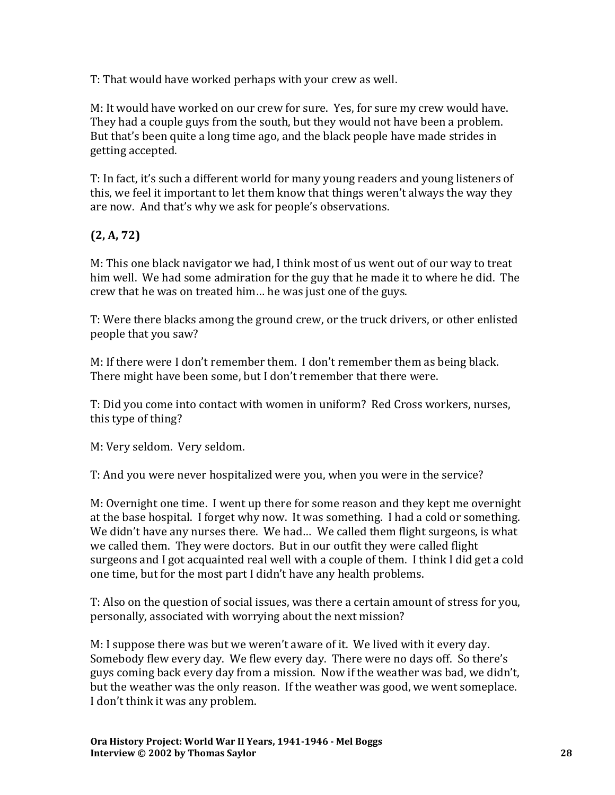T: That would have worked perhaps with your crew as well.

M: It would have worked on our crew for sure. Yes, for sure my crew would have. They had a couple guys from the south, but they would not have been a problem. But that's been quite a long time ago, and the black people have made strides in getting accepted.

T: In fact, it's such a different world for many young readers and young listeners of this, we feel it important to let them know that things weren't always the way they are now. And that's why we ask for people's observations.

# **(2, A, 72)**

M: This one black navigator we had, I think most of us went out of our way to treat him well. We had some admiration for the guy that he made it to where he did. The crew that he was on treated him… he was just one of the guys.

T: Were there blacks among the ground crew, or the truck drivers, or other enlisted people that you saw?

M: If there were I don't remember them. I don't remember them as being black. There might have been some, but I don't remember that there were.

T: Did you come into contact with women in uniform? Red Cross workers, nurses, this type of thing?

M: Very seldom. Very seldom.

T: And you were never hospitalized were you, when you were in the service?

M: Overnight one time. I went up there for some reason and they kept me overnight at the base hospital. I forget why now. It was something. I had a cold or something. We didn't have any nurses there. We had... We called them flight surgeons, is what we called them. They were doctors. But in our outfit they were called flight surgeons and I got acquainted real well with a couple of them. I think I did get a cold one time, but for the most part I didn't have any health problems.

T: Also on the question of social issues, was there a certain amount of stress for you, personally, associated with worrying about the next mission?

M: I suppose there was but we weren't aware of it. We lived with it every day. Somebody flew every day. We flew every day. There were no days off. So there's guys coming back every day from a mission. Now if the weather was bad, we didn't, but the weather was the only reason. If the weather was good, we went someplace. I don't think it was any problem.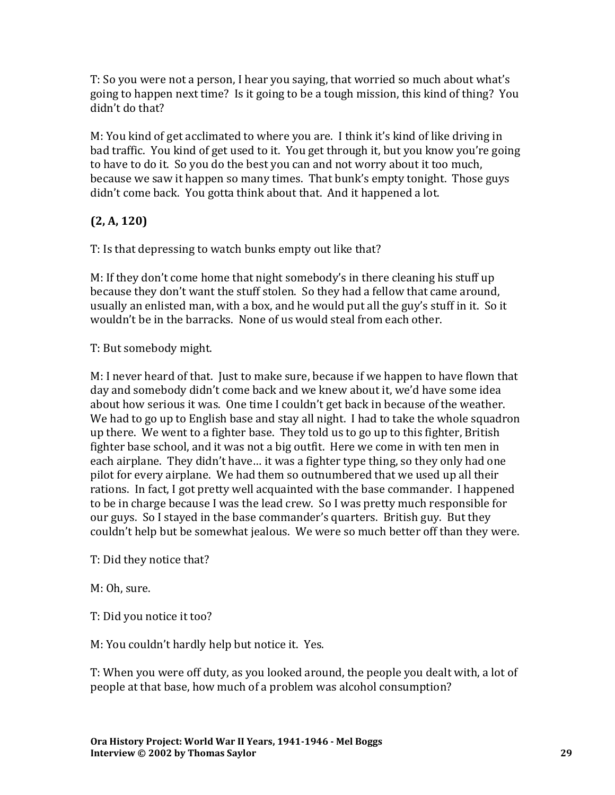T: So you were not a person, I hear you saying, that worried so much about what's going to happen next time? Is it going to be a tough mission, this kind of thing? You didn't do that?

M: You kind of get acclimated to where you are. I think it's kind of like driving in bad traffic. You kind of get used to it. You get through it, but you know you're going to have to do it. So you do the best you can and not worry about it too much, because we saw it happen so many times. That bunk's empty tonight. Those guys didn't come back. You gotta think about that. And it happened a lot.

# **(2, A, 120)**

T: Is that depressing to watch bunks empty out like that?

M: If they don't come home that night somebody's in there cleaning his stuff up because they don't want the stuff stolen. So they had a fellow that came around, usually an enlisted man, with a box, and he would put all the guy's stuff in it. So it wouldn't be in the barracks. None of us would steal from each other.

T: But somebody might.

M: I never heard of that. Just to make sure, because if we happen to have flown that day and somebody didn't come back and we knew about it, we'd have some idea about how serious it was. One time I couldn't get back in because of the weather. We had to go up to English base and stay all night. I had to take the whole squadron up there. We went to a fighter base. They told us to go up to this fighter, British fighter base school, and it was not a big outfit. Here we come in with ten men in each airplane. They didn't have… it was a fighter type thing, so they only had one pilot for every airplane. We had them so outnumbered that we used up all their rations. In fact, I got pretty well acquainted with the base commander. I happened to be in charge because I was the lead crew. So I was pretty much responsible for our guys. So I stayed in the base commander's quarters. British guy. But they couldn't help but be somewhat jealous. We were so much better off than they were.

T: Did they notice that?

M: Oh, sure.

T: Did you notice it too?

M: You couldn't hardly help but notice it. Yes.

T: When you were off duty, as you looked around, the people you dealt with, a lot of people at that base, how much of a problem was alcohol consumption?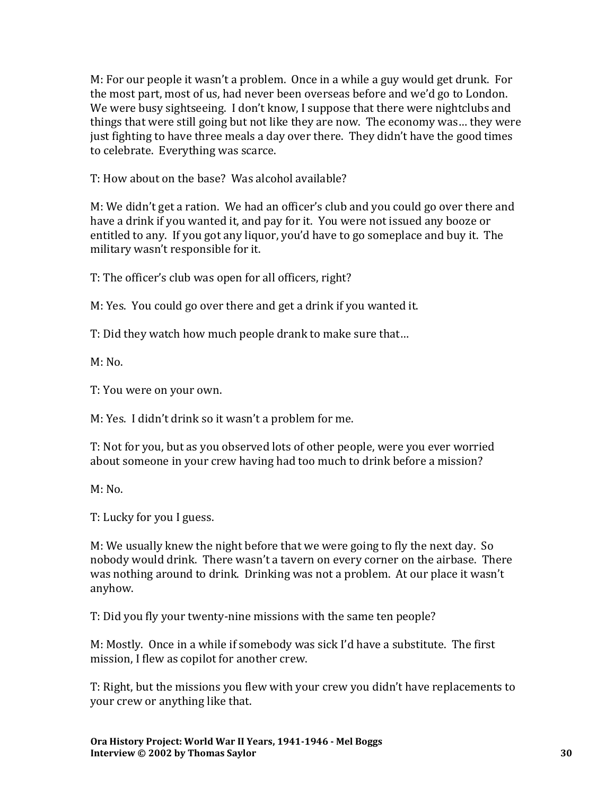M: For our people it wasn't a problem. Once in a while a guy would get drunk. For the most part, most of us, had never been overseas before and we'd go to London. We were busy sightseeing. I don't know, I suppose that there were nightclubs and things that were still going but not like they are now. The economy was… they were just fighting to have three meals a day over there. They didn't have the good times to celebrate. Everything was scarce.

T: How about on the base? Was alcohol available?

M: We didn't get a ration. We had an officer's club and you could go over there and have a drink if you wanted it, and pay for it. You were not issued any booze or entitled to any. If you got any liquor, you'd have to go someplace and buy it. The military wasn't responsible for it.

T: The officer's club was open for all officers, right?

M: Yes. You could go over there and get a drink if you wanted it.

T: Did they watch how much people drank to make sure that…

 $M: No.$ 

T: You were on your own.

M: Yes. I didn't drink so it wasn't a problem for me.

T: Not for you, but as you observed lots of other people, were you ever worried about someone in your crew having had too much to drink before a mission?

 $M: No.$ 

T: Lucky for you I guess.

M: We usually knew the night before that we were going to fly the next day. So nobody would drink. There wasn't a tavern on every corner on the airbase. There was nothing around to drink. Drinking was not a problem. At our place it wasn't anyhow.

T: Did you fly your twenty-nine missions with the same ten people?

M: Mostly. Once in a while if somebody was sick I'd have a substitute. The first mission, I flew as copilot for another crew.

T: Right, but the missions you flew with your crew you didn't have replacements to your crew or anything like that.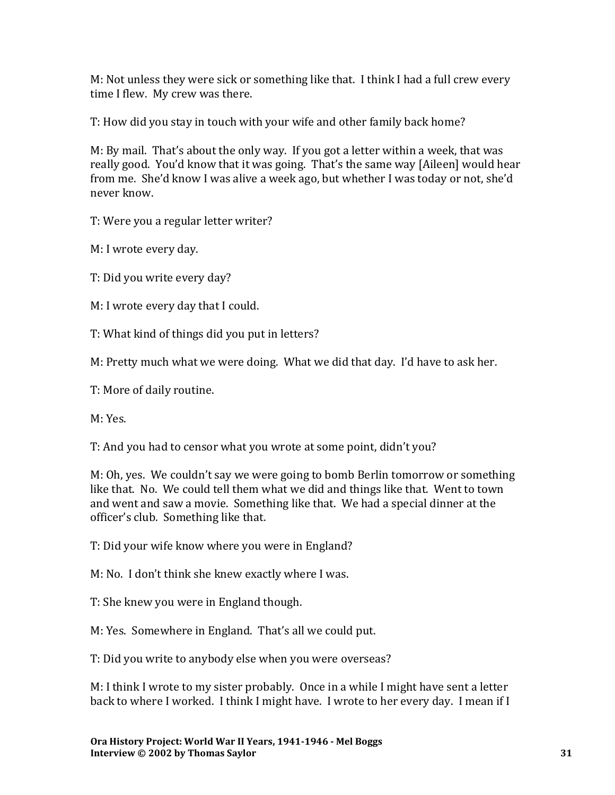M: Not unless they were sick or something like that. I think I had a full crew every time I flew. My crew was there.

T: How did you stay in touch with your wife and other family back home?

M: By mail. That's about the only way. If you got a letter within a week, that was really good. You'd know that it was going. That's the same way [Aileen] would hear from me. She'd know I was alive a week ago, but whether I was today or not, she'd never know.

T: Were you a regular letter writer?

M: I wrote every day.

T: Did you write every day?

M: I wrote every day that I could.

T: What kind of things did you put in letters?

M: Pretty much what we were doing. What we did that day. I'd have to ask her.

T: More of daily routine.

M: Yes.

T: And you had to censor what you wrote at some point, didn't you?

M: Oh, yes. We couldn't say we were going to bomb Berlin tomorrow or something like that. No. We could tell them what we did and things like that. Went to town and went and saw a movie. Something like that. We had a special dinner at the officer's club. Something like that.

T: Did your wife know where you were in England?

M: No. I don't think she knew exactly where I was.

T: She knew you were in England though.

M: Yes. Somewhere in England. That's all we could put.

T: Did you write to anybody else when you were overseas?

M: I think I wrote to my sister probably. Once in a while I might have sent a letter back to where I worked. I think I might have. I wrote to her every day. I mean if I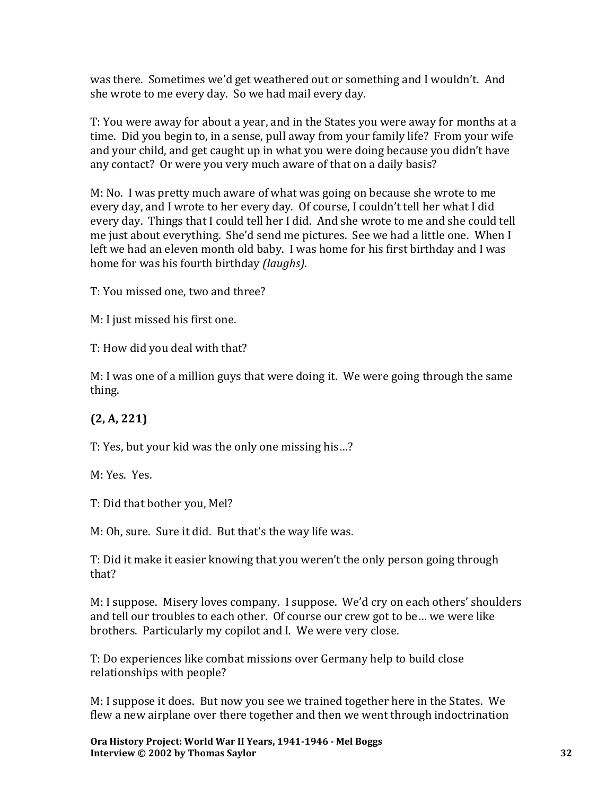was there. Sometimes we'd get weathered out or something and I wouldn't. And she wrote to me every day. So we had mail every day.

T: You were away for about a year, and in the States you were away for months at a time. Did you begin to, in a sense, pull away from your family life? From your wife and your child, and get caught up in what you were doing because you didn't have any contact? Or were you very much aware of that on a daily basis?

M: No. I was pretty much aware of what was going on because she wrote to me every day, and I wrote to her every day. Of course, I couldn't tell her what I did every day. Things that I could tell her I did. And she wrote to me and she could tell me just about everything. She'd send me pictures. See we had a little one. When I left we had an eleven month old baby. I was home for his first birthday and I was home for was his fourth birthday *(laughs)*.

T: You missed one, two and three?

M: I just missed his first one.

T: How did you deal with that?

M: I was one of a million guys that were doing it. We were going through the same thing.

# **(2, A, 221)**

T: Yes, but your kid was the only one missing his…?

M: Yes. Yes.

T: Did that bother you, Mel?

M: Oh, sure. Sure it did. But that's the way life was.

T: Did it make it easier knowing that you weren't the only person going through that?

M: I suppose. Misery loves company. I suppose. We'd cry on each others' shoulders and tell our troubles to each other. Of course our crew got to be… we were like brothers. Particularly my copilot and I. We were very close.

T: Do experiences like combat missions over Germany help to build close relationships with people?

M: I suppose it does. But now you see we trained together here in the States. We flew a new airplane over there together and then we went through indoctrination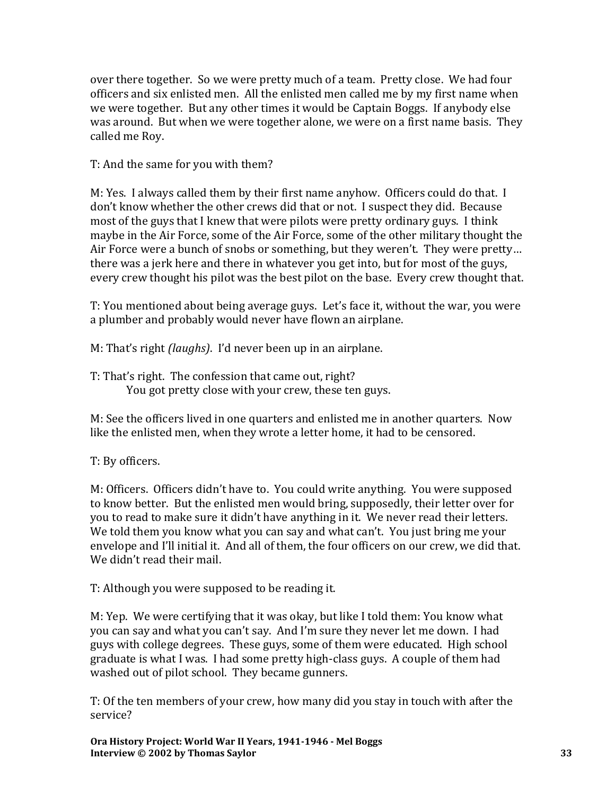over there together. So we were pretty much of a team. Pretty close. We had four officers and six enlisted men. All the enlisted men called me by my first name when we were together. But any other times it would be Captain Boggs. If anybody else was around. But when we were together alone, we were on a first name basis. They called me Roy.

#### T: And the same for you with them?

M: Yes. I always called them by their first name anyhow. Officers could do that. I don't know whether the other crews did that or not. I suspect they did. Because most of the guys that I knew that were pilots were pretty ordinary guys. I think maybe in the Air Force, some of the Air Force, some of the other military thought the Air Force were a bunch of snobs or something, but they weren't. They were pretty… there was a jerk here and there in whatever you get into, but for most of the guys, every crew thought his pilot was the best pilot on the base. Every crew thought that.

T: You mentioned about being average guys. Let's face it, without the war, you were a plumber and probably would never have flown an airplane.

M: That's right *(laughs)*. I'd never been up in an airplane.

T: That's right. The confession that came out, right? You got pretty close with your crew, these ten guys.

M: See the officers lived in one quarters and enlisted me in another quarters. Now like the enlisted men, when they wrote a letter home, it had to be censored.

### T: By officers.

M: Officers. Officers didn't have to. You could write anything. You were supposed to know better. But the enlisted men would bring, supposedly, their letter over for you to read to make sure it didn't have anything in it. We never read their letters. We told them you know what you can say and what can't. You just bring me your envelope and I'll initial it. And all of them, the four officers on our crew, we did that. We didn't read their mail.

T: Although you were supposed to be reading it.

M: Yep. We were certifying that it was okay, but like I told them: You know what you can say and what you can't say. And I'm sure they never let me down. I had guys with college degrees. These guys, some of them were educated. High school graduate is what I was. I had some pretty high-class guys. A couple of them had washed out of pilot school. They became gunners.

T: Of the ten members of your crew, how many did you stay in touch with after the service?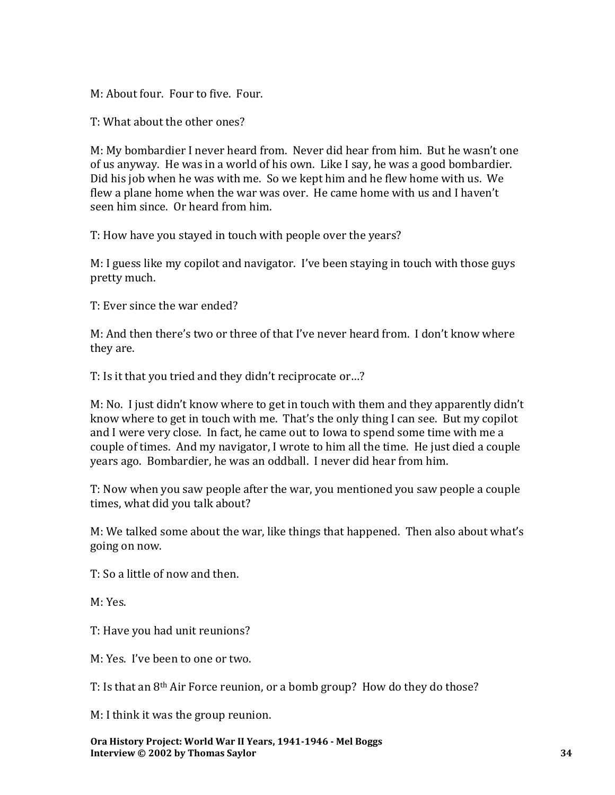M: About four. Four to five. Four.

T: What about the other ones?

M: My bombardier I never heard from. Never did hear from him. But he wasn't one of us anyway. He was in a world of his own. Like I say, he was a good bombardier. Did his job when he was with me. So we kept him and he flew home with us. We flew a plane home when the war was over. He came home with us and I haven't seen him since. Or heard from him.

T: How have you stayed in touch with people over the years?

M: I guess like my copilot and navigator. I've been staying in touch with those guys pretty much.

T: Ever since the war ended?

M: And then there's two or three of that I've never heard from. I don't know where they are.

T: Is it that you tried and they didn't reciprocate or…?

M: No. I just didn't know where to get in touch with them and they apparently didn't know where to get in touch with me. That's the only thing I can see. But my copilot and I were very close. In fact, he came out to Iowa to spend some time with me a couple of times. And my navigator, I wrote to him all the time. He just died a couple years ago. Bombardier, he was an oddball. I never did hear from him.

T: Now when you saw people after the war, you mentioned you saw people a couple times, what did you talk about?

M: We talked some about the war, like things that happened. Then also about what's going on now.

T: So a little of now and then.

M: Yes.

T: Have you had unit reunions?

M: Yes. I've been to one or two.

T: Is that an 8th Air Force reunion, or a bomb group? How do they do those?

M: I think it was the group reunion.

**Ora History Project: World War II Years, 1941-1946 - Mel Boggs Interview © 2002 by Thomas Saylor 34**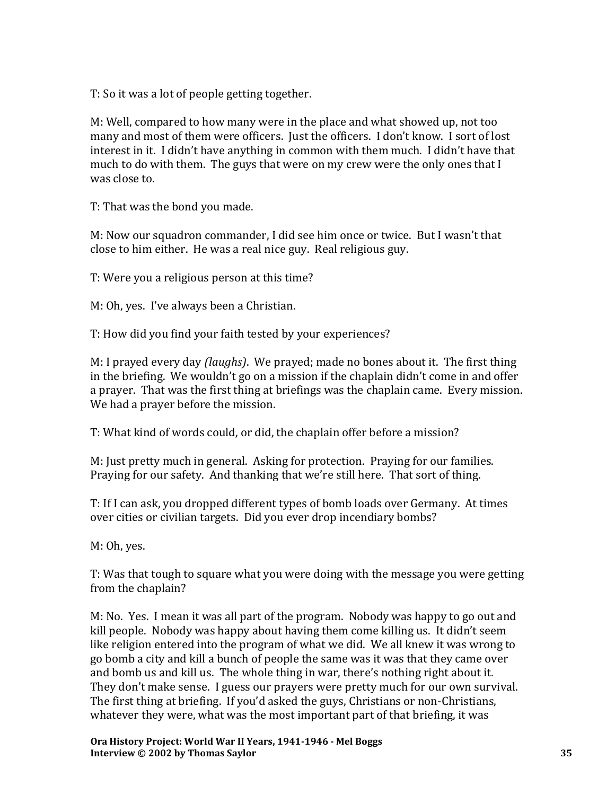T: So it was a lot of people getting together.

M: Well, compared to how many were in the place and what showed up, not too many and most of them were officers. Just the officers. I don't know. I sort of lost interest in it. I didn't have anything in common with them much. I didn't have that much to do with them. The guys that were on my crew were the only ones that I was close to.

T: That was the bond you made.

M: Now our squadron commander, I did see him once or twice. But I wasn't that close to him either. He was a real nice guy. Real religious guy.

T: Were you a religious person at this time?

M: Oh, yes. I've always been a Christian.

T: How did you find your faith tested by your experiences?

M: I prayed every day *(laughs)*. We prayed; made no bones about it. The first thing in the briefing. We wouldn't go on a mission if the chaplain didn't come in and offer a prayer. That was the first thing at briefings was the chaplain came. Every mission. We had a prayer before the mission.

T: What kind of words could, or did, the chaplain offer before a mission?

M: Just pretty much in general. Asking for protection. Praying for our families. Praying for our safety. And thanking that we're still here. That sort of thing.

T: If I can ask, you dropped different types of bomb loads over Germany. At times over cities or civilian targets. Did you ever drop incendiary bombs?

M: Oh, yes.

T: Was that tough to square what you were doing with the message you were getting from the chaplain?

M: No. Yes. I mean it was all part of the program. Nobody was happy to go out and kill people. Nobody was happy about having them come killing us. It didn't seem like religion entered into the program of what we did. We all knew it was wrong to go bomb a city and kill a bunch of people the same was it was that they came over and bomb us and kill us. The whole thing in war, there's nothing right about it. They don't make sense. I guess our prayers were pretty much for our own survival. The first thing at briefing. If you'd asked the guys, Christians or non-Christians, whatever they were, what was the most important part of that briefing, it was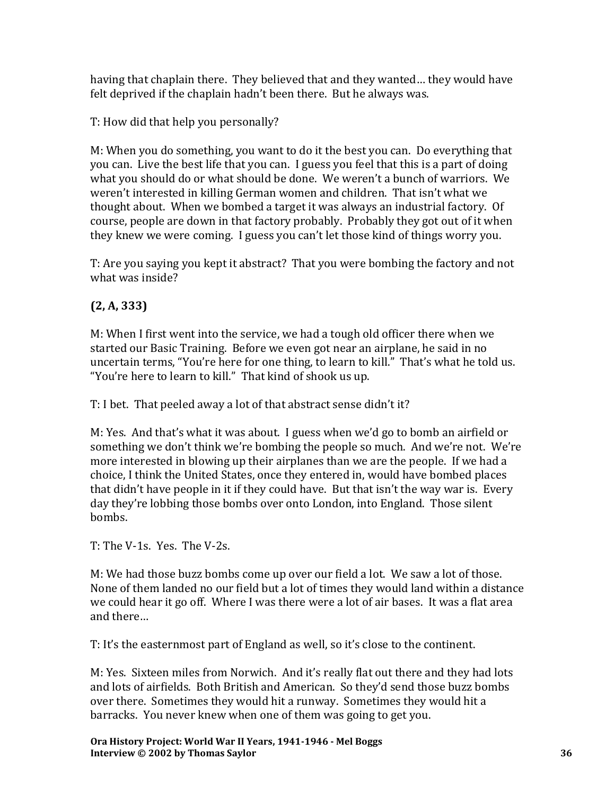having that chaplain there. They believed that and they wanted… they would have felt deprived if the chaplain hadn't been there. But he always was.

T: How did that help you personally?

M: When you do something, you want to do it the best you can. Do everything that you can. Live the best life that you can. I guess you feel that this is a part of doing what you should do or what should be done. We weren't a bunch of warriors. We weren't interested in killing German women and children. That isn't what we thought about. When we bombed a target it was always an industrial factory. Of course, people are down in that factory probably. Probably they got out of it when they knew we were coming. I guess you can't let those kind of things worry you.

T: Are you saying you kept it abstract? That you were bombing the factory and not what was inside?

# **(2, A, 333)**

M: When I first went into the service, we had a tough old officer there when we started our Basic Training. Before we even got near an airplane, he said in no uncertain terms, "You're here for one thing, to learn to kill." That's what he told us. "You're here to learn to kill." That kind of shook us up.

T: I bet. That peeled away a lot of that abstract sense didn't it?

M: Yes. And that's what it was about. I guess when we'd go to bomb an airfield or something we don't think we're bombing the people so much. And we're not. We're more interested in blowing up their airplanes than we are the people. If we had a choice, I think the United States, once they entered in, would have bombed places that didn't have people in it if they could have. But that isn't the way war is. Every day they're lobbing those bombs over onto London, into England. Those silent bombs.

T: The V-1s. Yes. The V-2s.

M: We had those buzz bombs come up over our field a lot. We saw a lot of those. None of them landed no our field but a lot of times they would land within a distance we could hear it go off. Where I was there were a lot of air bases. It was a flat area and there…

T: It's the easternmost part of England as well, so it's close to the continent.

M: Yes. Sixteen miles from Norwich. And it's really flat out there and they had lots and lots of airfields. Both British and American. So they'd send those buzz bombs over there. Sometimes they would hit a runway. Sometimes they would hit a barracks. You never knew when one of them was going to get you.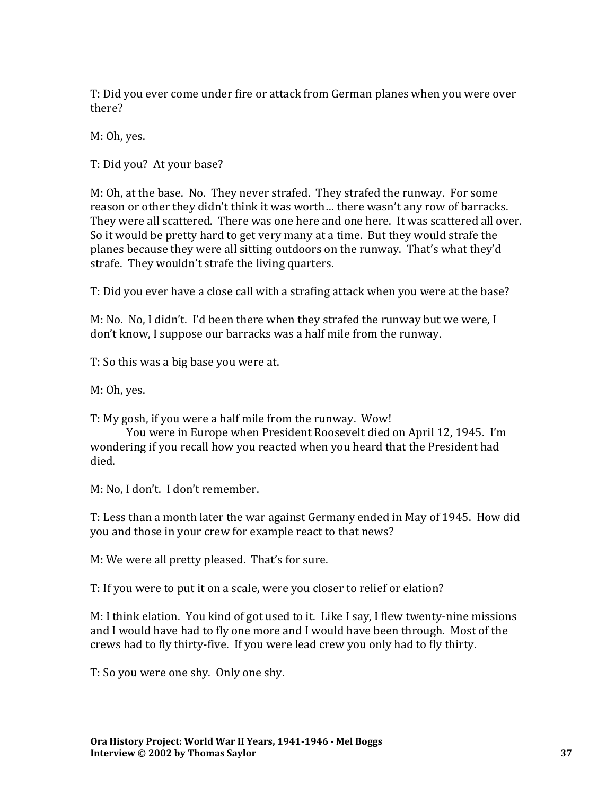T: Did you ever come under fire or attack from German planes when you were over there?

M: Oh, yes.

T: Did you? At your base?

M: Oh, at the base. No. They never strafed. They strafed the runway. For some reason or other they didn't think it was worth… there wasn't any row of barracks. They were all scattered. There was one here and one here. It was scattered all over. So it would be pretty hard to get very many at a time. But they would strafe the planes because they were all sitting outdoors on the runway. That's what they'd strafe. They wouldn't strafe the living quarters.

T: Did you ever have a close call with a strafing attack when you were at the base?

M: No. No, I didn't. I'd been there when they strafed the runway but we were, I don't know, I suppose our barracks was a half mile from the runway.

T: So this was a big base you were at.

M: Oh, yes.

T: My gosh, if you were a half mile from the runway. Wow!

You were in Europe when President Roosevelt died on April 12, 1945. I'm wondering if you recall how you reacted when you heard that the President had died.

M: No, I don't. I don't remember.

T: Less than a month later the war against Germany ended in May of 1945. How did you and those in your crew for example react to that news?

M: We were all pretty pleased. That's for sure.

T: If you were to put it on a scale, were you closer to relief or elation?

M: I think elation. You kind of got used to it. Like I say, I flew twenty-nine missions and I would have had to fly one more and I would have been through. Most of the crews had to fly thirty-five. If you were lead crew you only had to fly thirty.

T: So you were one shy. Only one shy.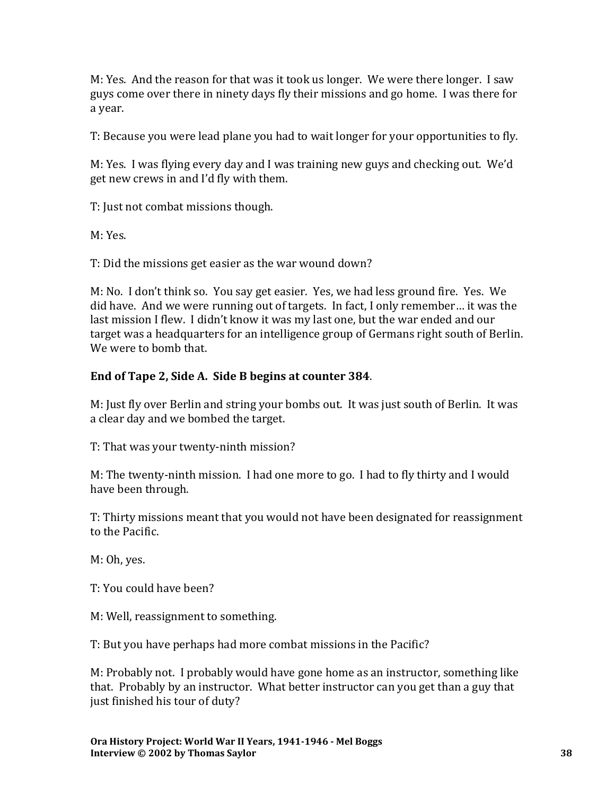M: Yes. And the reason for that was it took us longer. We were there longer. I saw guys come over there in ninety days fly their missions and go home. I was there for a year.

T: Because you were lead plane you had to wait longer for your opportunities to fly.

M: Yes. I was flying every day and I was training new guys and checking out. We'd get new crews in and I'd fly with them.

T: Just not combat missions though.

M: Yes.

T: Did the missions get easier as the war wound down?

M: No. I don't think so. You say get easier. Yes, we had less ground fire. Yes. We did have. And we were running out of targets. In fact, I only remember… it was the last mission I flew. I didn't know it was my last one, but the war ended and our target was a headquarters for an intelligence group of Germans right south of Berlin. We were to bomb that.

## **End of Tape 2, Side A. Side B begins at counter 384**.

M: Just fly over Berlin and string your bombs out. It was just south of Berlin. It was a clear day and we bombed the target.

T: That was your twenty-ninth mission?

M: The twenty-ninth mission. I had one more to go. I had to fly thirty and I would have been through.

T: Thirty missions meant that you would not have been designated for reassignment to the Pacific.

M: Oh, yes.

T: You could have been?

M: Well, reassignment to something.

T: But you have perhaps had more combat missions in the Pacific?

M: Probably not. I probably would have gone home as an instructor, something like that. Probably by an instructor. What better instructor can you get than a guy that just finished his tour of duty?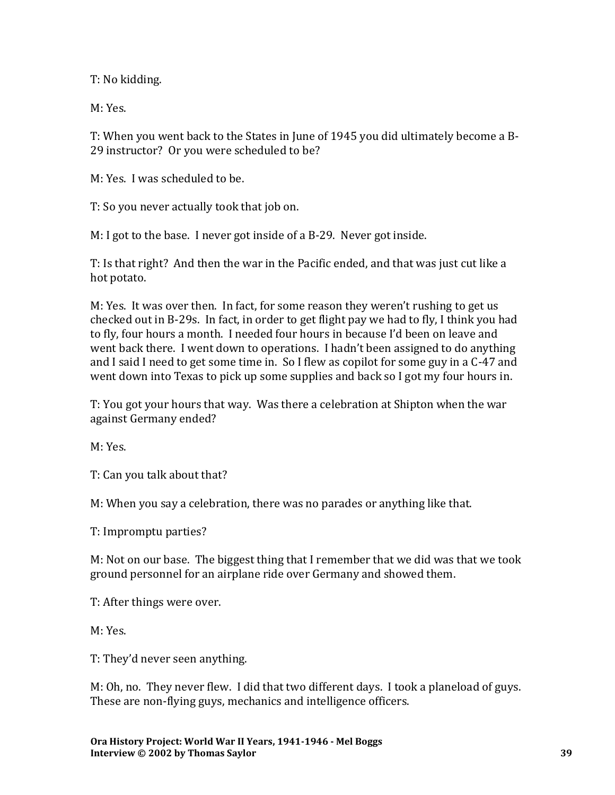T: No kidding.

M: Yes.

T: When you went back to the States in June of 1945 you did ultimately become a B-29 instructor? Or you were scheduled to be?

M: Yes. I was scheduled to be.

T: So you never actually took that job on.

M: I got to the base. I never got inside of a B-29. Never got inside.

T: Is that right? And then the war in the Pacific ended, and that was just cut like a hot potato.

M: Yes. It was over then. In fact, for some reason they weren't rushing to get us checked out in B-29s. In fact, in order to get flight pay we had to fly, I think you had to fly, four hours a month. I needed four hours in because I'd been on leave and went back there. I went down to operations. I hadn't been assigned to do anything and I said I need to get some time in. So I flew as copilot for some guy in a C-47 and went down into Texas to pick up some supplies and back so I got my four hours in.

T: You got your hours that way. Was there a celebration at Shipton when the war against Germany ended?

M: Yes.

T: Can you talk about that?

M: When you say a celebration, there was no parades or anything like that.

T: Impromptu parties?

M: Not on our base. The biggest thing that I remember that we did was that we took ground personnel for an airplane ride over Germany and showed them.

T: After things were over.

M: Yes.

T: They'd never seen anything.

M: Oh, no. They never flew. I did that two different days. I took a planeload of guys. These are non-flying guys, mechanics and intelligence officers.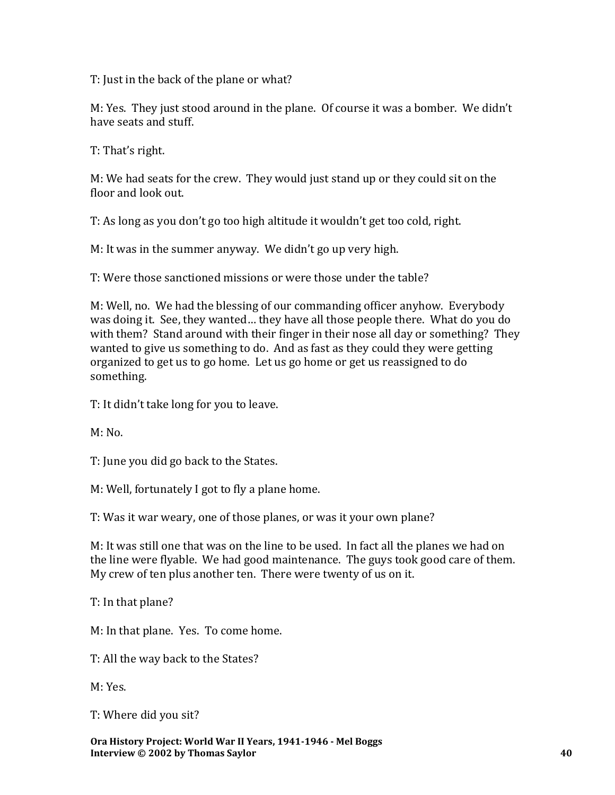T: Just in the back of the plane or what?

M: Yes. They just stood around in the plane. Of course it was a bomber. We didn't have seats and stuff.

T: That's right.

M: We had seats for the crew. They would just stand up or they could sit on the floor and look out.

T: As long as you don't go too high altitude it wouldn't get too cold, right.

M: It was in the summer anyway. We didn't go up very high.

T: Were those sanctioned missions or were those under the table?

M: Well, no. We had the blessing of our commanding officer anyhow. Everybody was doing it. See, they wanted… they have all those people there. What do you do with them? Stand around with their finger in their nose all day or something? They wanted to give us something to do. And as fast as they could they were getting organized to get us to go home. Let us go home or get us reassigned to do something.

T: It didn't take long for you to leave.

 $M: No.$ 

T: June you did go back to the States.

M: Well, fortunately I got to fly a plane home.

T: Was it war weary, one of those planes, or was it your own plane?

M: It was still one that was on the line to be used. In fact all the planes we had on the line were flyable. We had good maintenance. The guys took good care of them. My crew of ten plus another ten. There were twenty of us on it.

T: In that plane?

M: In that plane. Yes. To come home.

T: All the way back to the States?

M: Yes.

T: Where did you sit?

**Ora History Project: World War II Years, 1941-1946 - Mel Boggs Interview © 2002 by Thomas Saylor 40**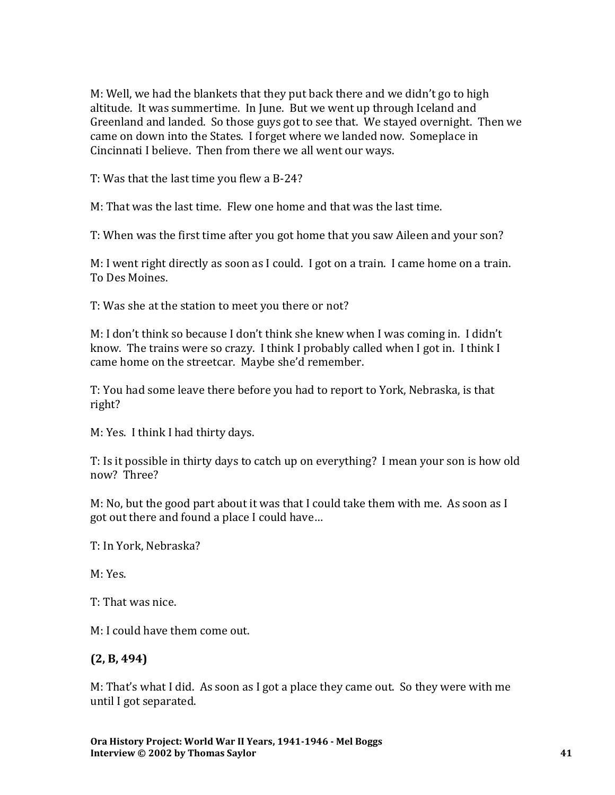M: Well, we had the blankets that they put back there and we didn't go to high altitude. It was summertime. In June. But we went up through Iceland and Greenland and landed. So those guys got to see that. We stayed overnight. Then we came on down into the States. I forget where we landed now. Someplace in Cincinnati I believe. Then from there we all went our ways.

T: Was that the last time you flew a B-24?

M: That was the last time. Flew one home and that was the last time.

T: When was the first time after you got home that you saw Aileen and your son?

M: I went right directly as soon as I could. I got on a train. I came home on a train. To Des Moines.

T: Was she at the station to meet you there or not?

M: I don't think so because I don't think she knew when I was coming in. I didn't know. The trains were so crazy. I think I probably called when I got in. I think I came home on the streetcar. Maybe she'd remember.

T: You had some leave there before you had to report to York, Nebraska, is that right?

M: Yes. I think I had thirty days.

T: Is it possible in thirty days to catch up on everything? I mean your son is how old now? Three?

M: No, but the good part about it was that I could take them with me. As soon as I got out there and found a place I could have…

T: In York, Nebraska?

M: Yes.

T: That was nice.

M: I could have them come out.

### **(2, B, 494)**

M: That's what I did. As soon as I got a place they came out. So they were with me until I got separated.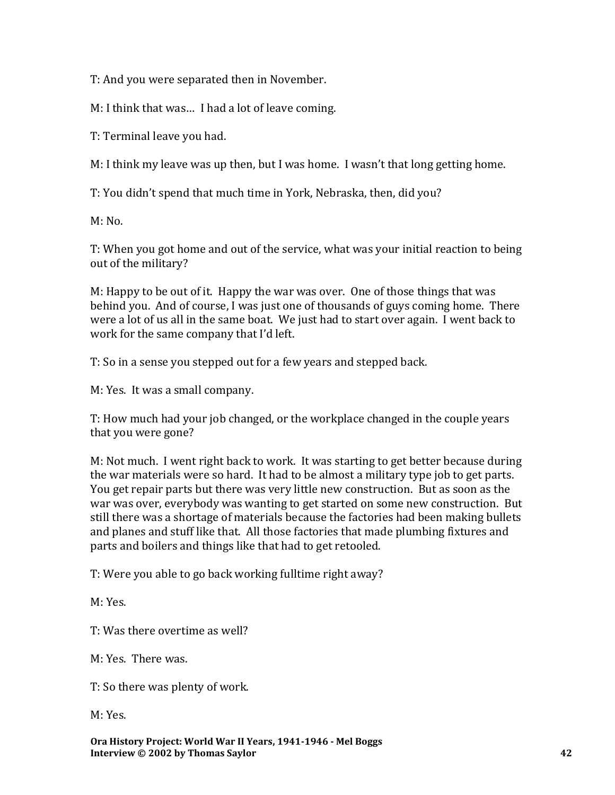T: And you were separated then in November.

M: I think that was… I had a lot of leave coming.

T: Terminal leave you had.

M: I think my leave was up then, but I was home. I wasn't that long getting home.

T: You didn't spend that much time in York, Nebraska, then, did you?

M: No.

T: When you got home and out of the service, what was your initial reaction to being out of the military?

M: Happy to be out of it. Happy the war was over. One of those things that was behind you. And of course, I was just one of thousands of guys coming home. There were a lot of us all in the same boat. We just had to start over again. I went back to work for the same company that I'd left.

T: So in a sense you stepped out for a few years and stepped back.

M: Yes. It was a small company.

T: How much had your job changed, or the workplace changed in the couple years that you were gone?

M: Not much. I went right back to work. It was starting to get better because during the war materials were so hard. It had to be almost a military type job to get parts. You get repair parts but there was very little new construction. But as soon as the war was over, everybody was wanting to get started on some new construction. But still there was a shortage of materials because the factories had been making bullets and planes and stuff like that. All those factories that made plumbing fixtures and parts and boilers and things like that had to get retooled.

T: Were you able to go back working fulltime right away?

M: Yes.

T: Was there overtime as well?

M: Yes. There was.

T: So there was plenty of work.

M: Yes.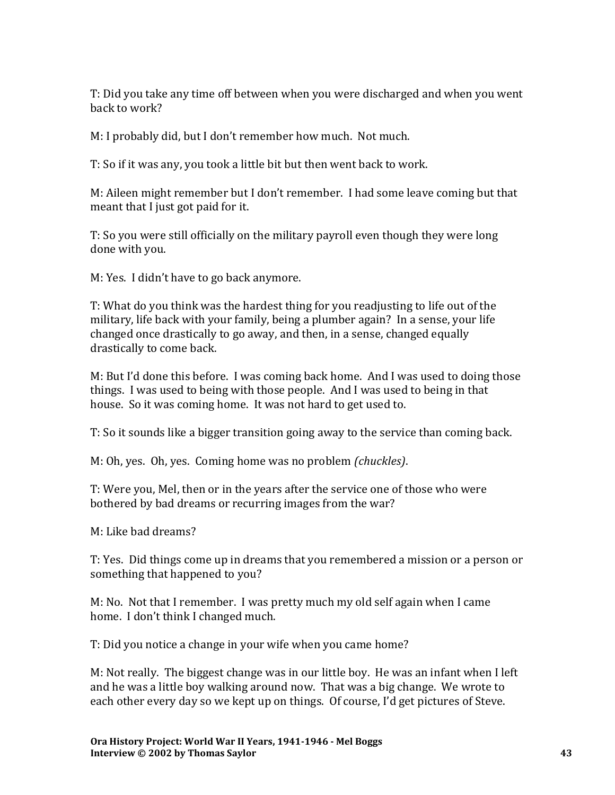T: Did you take any time off between when you were discharged and when you went back to work?

M: I probably did, but I don't remember how much. Not much.

T: So if it was any, you took a little bit but then went back to work.

M: Aileen might remember but I don't remember. I had some leave coming but that meant that I just got paid for it.

T: So you were still officially on the military payroll even though they were long done with you.

M: Yes. I didn't have to go back anymore.

T: What do you think was the hardest thing for you readjusting to life out of the military, life back with your family, being a plumber again? In a sense, your life changed once drastically to go away, and then, in a sense, changed equally drastically to come back.

M: But I'd done this before. I was coming back home. And I was used to doing those things. I was used to being with those people. And I was used to being in that house. So it was coming home. It was not hard to get used to.

T: So it sounds like a bigger transition going away to the service than coming back.

M: Oh, yes. Oh, yes. Coming home was no problem *(chuckles)*.

T: Were you, Mel, then or in the years after the service one of those who were bothered by bad dreams or recurring images from the war?

M: Like bad dreams?

T: Yes. Did things come up in dreams that you remembered a mission or a person or something that happened to you?

M: No. Not that I remember. I was pretty much my old self again when I came home. I don't think I changed much.

T: Did you notice a change in your wife when you came home?

M: Not really. The biggest change was in our little boy. He was an infant when I left and he was a little boy walking around now. That was a big change. We wrote to each other every day so we kept up on things. Of course, I'd get pictures of Steve.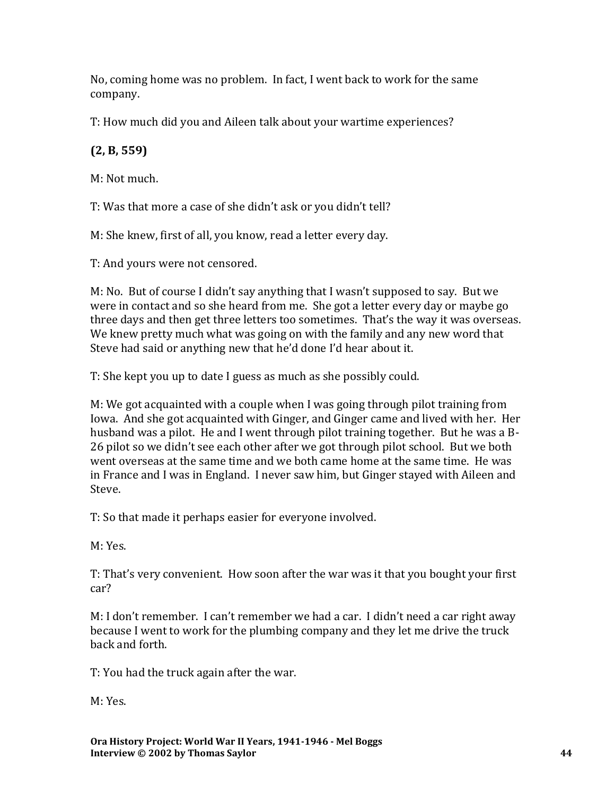No, coming home was no problem. In fact, I went back to work for the same company.

T: How much did you and Aileen talk about your wartime experiences?

# **(2, B, 559)**

M: Not much.

T: Was that more a case of she didn't ask or you didn't tell?

M: She knew, first of all, you know, read a letter every day.

T: And yours were not censored.

M: No. But of course I didn't say anything that I wasn't supposed to say. But we were in contact and so she heard from me. She got a letter every day or maybe go three days and then get three letters too sometimes. That's the way it was overseas. We knew pretty much what was going on with the family and any new word that Steve had said or anything new that he'd done I'd hear about it.

T: She kept you up to date I guess as much as she possibly could.

M: We got acquainted with a couple when I was going through pilot training from Iowa. And she got acquainted with Ginger, and Ginger came and lived with her. Her husband was a pilot. He and I went through pilot training together. But he was a B-26 pilot so we didn't see each other after we got through pilot school. But we both went overseas at the same time and we both came home at the same time. He was in France and I was in England. I never saw him, but Ginger stayed with Aileen and Steve.

T: So that made it perhaps easier for everyone involved.

M: Yes.

T: That's very convenient. How soon after the war was it that you bought your first car?

M: I don't remember. I can't remember we had a car. I didn't need a car right away because I went to work for the plumbing company and they let me drive the truck back and forth.

T: You had the truck again after the war.

M: Yes.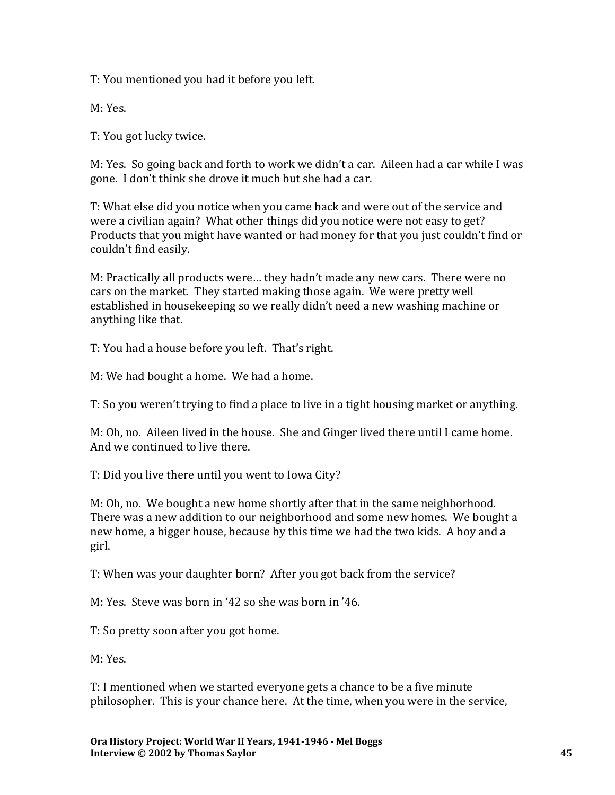T: You mentioned you had it before you left.

M: Yes.

T: You got lucky twice.

M: Yes. So going back and forth to work we didn't a car. Aileen had a car while I was gone. I don't think she drove it much but she had a car.

T: What else did you notice when you came back and were out of the service and were a civilian again? What other things did you notice were not easy to get? Products that you might have wanted or had money for that you just couldn't find or couldn't find easily.

M: Practically all products were… they hadn't made any new cars. There were no cars on the market. They started making those again. We were pretty well established in housekeeping so we really didn't need a new washing machine or anything like that.

T: You had a house before you left. That's right.

M: We had bought a home. We had a home.

T: So you weren't trying to find a place to live in a tight housing market or anything.

M: Oh, no. Aileen lived in the house. She and Ginger lived there until I came home. And we continued to live there.

T: Did you live there until you went to Iowa City?

M: Oh, no. We bought a new home shortly after that in the same neighborhood. There was a new addition to our neighborhood and some new homes. We bought a new home, a bigger house, because by this time we had the two kids. A boy and a girl.

T: When was your daughter born? After you got back from the service?

M: Yes. Steve was born in '42 so she was born in '46.

T: So pretty soon after you got home.

M: Yes.

T: I mentioned when we started everyone gets a chance to be a five minute philosopher. This is your chance here. At the time, when you were in the service,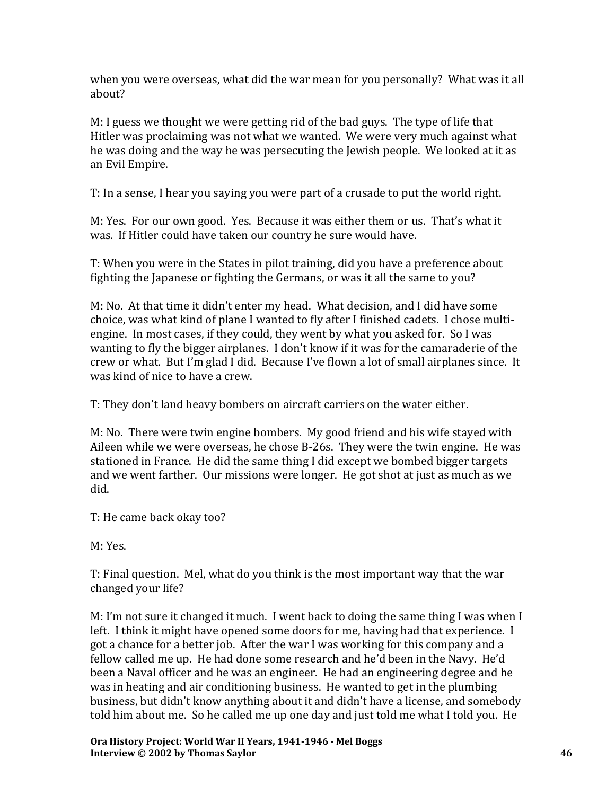when you were overseas, what did the war mean for you personally? What was it all about?

M: I guess we thought we were getting rid of the bad guys. The type of life that Hitler was proclaiming was not what we wanted. We were very much against what he was doing and the way he was persecuting the Jewish people. We looked at it as an Evil Empire.

T: In a sense, I hear you saying you were part of a crusade to put the world right.

M: Yes. For our own good. Yes. Because it was either them or us. That's what it was. If Hitler could have taken our country he sure would have.

T: When you were in the States in pilot training, did you have a preference about fighting the Japanese or fighting the Germans, or was it all the same to you?

M: No. At that time it didn't enter my head. What decision, and I did have some choice, was what kind of plane I wanted to fly after I finished cadets. I chose multiengine. In most cases, if they could, they went by what you asked for. So I was wanting to fly the bigger airplanes. I don't know if it was for the camaraderie of the crew or what. But I'm glad I did. Because I've flown a lot of small airplanes since. It was kind of nice to have a crew.

T: They don't land heavy bombers on aircraft carriers on the water either.

M: No. There were twin engine bombers. My good friend and his wife stayed with Aileen while we were overseas, he chose B-26s. They were the twin engine. He was stationed in France. He did the same thing I did except we bombed bigger targets and we went farther. Our missions were longer. He got shot at just as much as we did.

T: He came back okay too?

M: Yes.

T: Final question. Mel, what do you think is the most important way that the war changed your life?

M: I'm not sure it changed it much. I went back to doing the same thing I was when I left. I think it might have opened some doors for me, having had that experience. I got a chance for a better job. After the war I was working for this company and a fellow called me up. He had done some research and he'd been in the Navy. He'd been a Naval officer and he was an engineer. He had an engineering degree and he was in heating and air conditioning business. He wanted to get in the plumbing business, but didn't know anything about it and didn't have a license, and somebody told him about me. So he called me up one day and just told me what I told you. He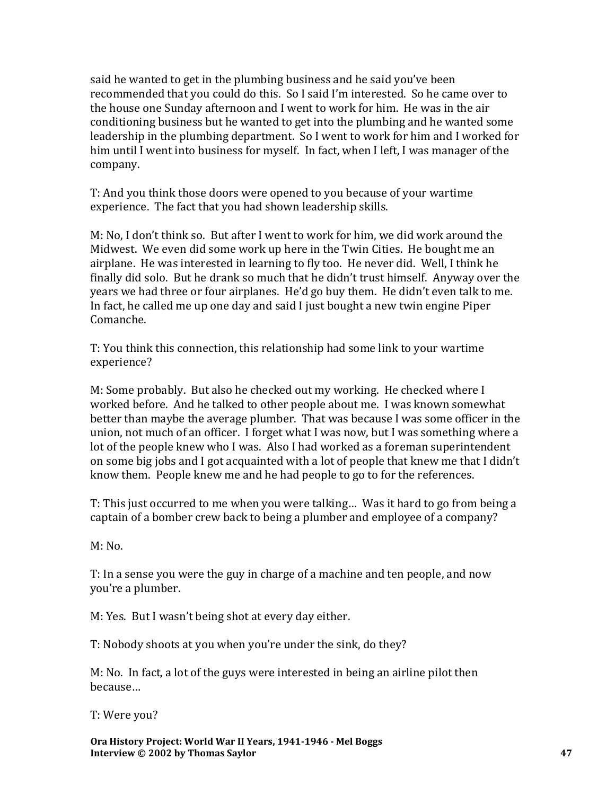said he wanted to get in the plumbing business and he said you've been recommended that you could do this. So I said I'm interested. So he came over to the house one Sunday afternoon and I went to work for him. He was in the air conditioning business but he wanted to get into the plumbing and he wanted some leadership in the plumbing department. So I went to work for him and I worked for him until I went into business for myself. In fact, when I left, I was manager of the company.

T: And you think those doors were opened to you because of your wartime experience. The fact that you had shown leadership skills.

M: No, I don't think so. But after I went to work for him, we did work around the Midwest. We even did some work up here in the Twin Cities. He bought me an airplane. He was interested in learning to fly too. He never did. Well, I think he finally did solo. But he drank so much that he didn't trust himself. Anyway over the years we had three or four airplanes. He'd go buy them. He didn't even talk to me. In fact, he called me up one day and said I just bought a new twin engine Piper Comanche.

T: You think this connection, this relationship had some link to your wartime experience?

M: Some probably. But also he checked out my working. He checked where I worked before. And he talked to other people about me. I was known somewhat better than maybe the average plumber. That was because I was some officer in the union, not much of an officer. I forget what I was now, but I was something where a lot of the people knew who I was. Also I had worked as a foreman superintendent on some big jobs and I got acquainted with a lot of people that knew me that I didn't know them. People knew me and he had people to go to for the references.

T: This just occurred to me when you were talking… Was it hard to go from being a captain of a bomber crew back to being a plumber and employee of a company?

 $M: No.$ 

T: In a sense you were the guy in charge of a machine and ten people, and now you're a plumber.

M: Yes. But I wasn't being shot at every day either.

T: Nobody shoots at you when you're under the sink, do they?

M: No. In fact, a lot of the guys were interested in being an airline pilot then because…

T: Were you?

**Ora History Project: World War II Years, 1941-1946 - Mel Boggs Interview © 2002 by Thomas Saylor 47**